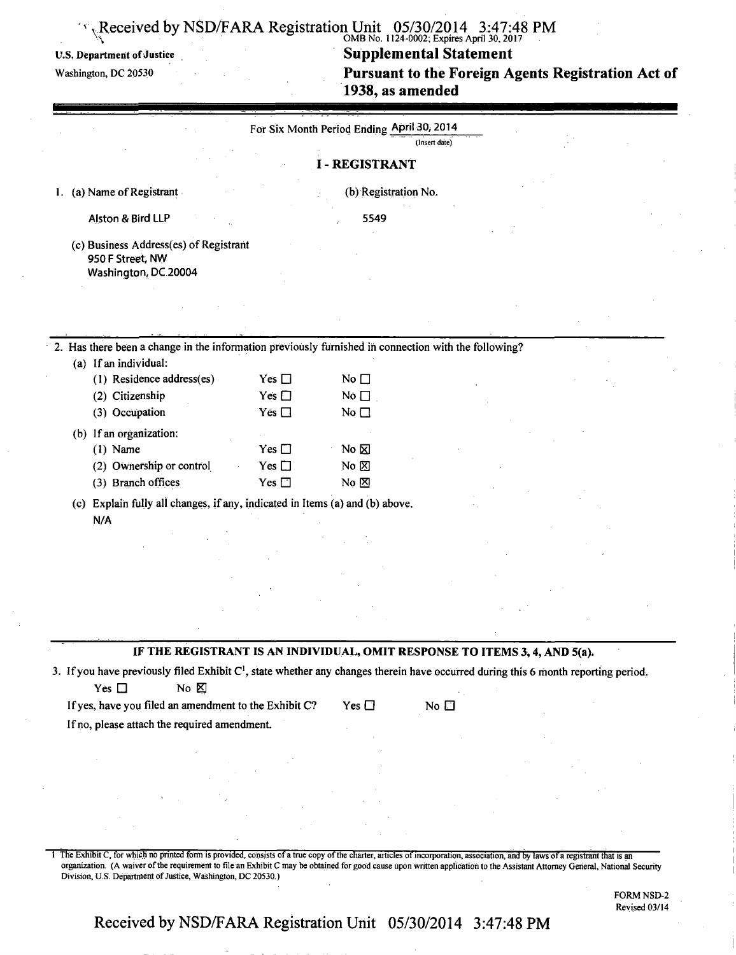### $V_{\rm N}$  OMB NO. 1124-0002; Expires April 30, 2017

U.S. Department of Justice **Supplemental Statement Washington, DC 20530 1986 1987 1988 1997 1998 1997 1998 1999 1999 1999 1999 1999 1999 1999 1999 1999 1999 1999 1999 1999 1999** Pursuant to the Foreign Agents Registration Act of **1938, as amended** 

|                                                                                                                                                                                |               | For Six Month Period Ending April 30, 2014 | (Insert date)                                                              |  |
|--------------------------------------------------------------------------------------------------------------------------------------------------------------------------------|---------------|--------------------------------------------|----------------------------------------------------------------------------|--|
|                                                                                                                                                                                |               | <b>I-REGISTRANT</b>                        |                                                                            |  |
| 1. (a) Name of Registrant                                                                                                                                                      |               | (b) Registration No.                       |                                                                            |  |
| Alston & Bird LLP                                                                                                                                                              |               | 5549                                       |                                                                            |  |
| (c) Business Address(es) of Registrant<br>950 F Street, NW                                                                                                                     |               |                                            |                                                                            |  |
| Washington, DC 20004                                                                                                                                                           |               |                                            |                                                                            |  |
|                                                                                                                                                                                |               |                                            |                                                                            |  |
| 2. Has there been a change in the information previously furnished in connection with the following?                                                                           |               |                                            |                                                                            |  |
| (a) If an individual:                                                                                                                                                          |               |                                            |                                                                            |  |
| (1) Residence address(es)                                                                                                                                                      | Yes $\square$ | No $\square$                               |                                                                            |  |
| (2) Citizenship                                                                                                                                                                | Yes $\square$ | No $\square$                               |                                                                            |  |
| (3) Occupation                                                                                                                                                                 | Yes $\Box$    | No $\square$                               |                                                                            |  |
| (b) If an organization:                                                                                                                                                        |               |                                            |                                                                            |  |
| $(1)$ Name                                                                                                                                                                     | Yes $\square$ | $No \boxtimes$                             |                                                                            |  |
| (2) Ownership or control                                                                                                                                                       | Yes $\square$ | No $\boxtimes$                             |                                                                            |  |
| (3) Branch offices                                                                                                                                                             | Yes $\square$ | $No \boxtimes$                             |                                                                            |  |
| (c) Explain fully all changes, if any, indicated in Items (a) and (b) above.                                                                                                   |               |                                            |                                                                            |  |
| N/A                                                                                                                                                                            |               |                                            |                                                                            |  |
|                                                                                                                                                                                |               |                                            |                                                                            |  |
|                                                                                                                                                                                |               |                                            |                                                                            |  |
|                                                                                                                                                                                |               |                                            |                                                                            |  |
|                                                                                                                                                                                |               |                                            |                                                                            |  |
|                                                                                                                                                                                |               |                                            |                                                                            |  |
|                                                                                                                                                                                |               |                                            |                                                                            |  |
|                                                                                                                                                                                |               |                                            | IF THE REGISTRANT IS AN INDIVIDUAL, OMIT RESPONSE TO ITEMS 3, 4, AND 5(a). |  |
| 3. If you have previously filed Exhibit C <sup>1</sup> , state whether any changes therein have occurred during this 6 month reporting period.<br>No <b>区</b><br>Yes $\square$ |               |                                            |                                                                            |  |
| If yes, have you filed an amendment to the Exhibit C?                                                                                                                          |               | Yes $\square$                              | No $\square$                                                               |  |
| If no, please attach the required amendment.                                                                                                                                   |               |                                            |                                                                            |  |
|                                                                                                                                                                                |               |                                            |                                                                            |  |
|                                                                                                                                                                                |               |                                            |                                                                            |  |

1 The Exhibit C, for which no printed form is provided, consists of a true copy of the charter, articles of incorporation, association, and by laws of a registrant that is an organization. (A waiver of the requirement to file an Exhibit C may be obtained for good cause upon written application to the Assistant Attorney General, National Security Division, U.S. Department of Justice, Washington, DC 20530.)

> FORM NSD-2 Revised 03/14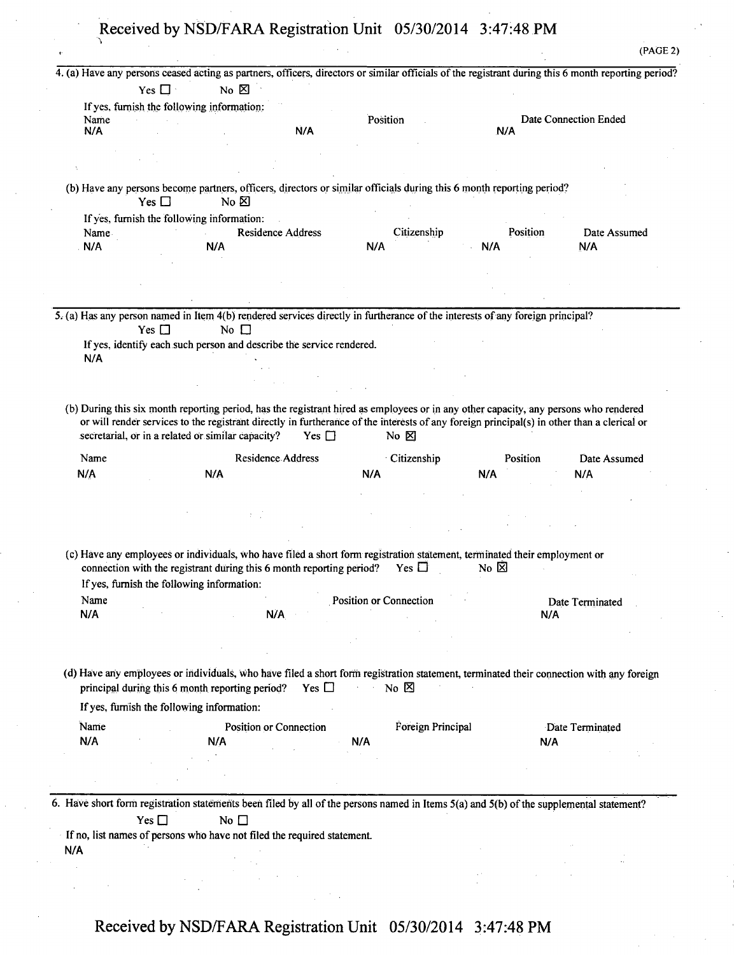| Name<br>N/A<br>Name<br>N/A                                                                                                    | $No \times$<br>Yes $\Box$<br>If yes, furnish the following information:<br>Yes $\Box$<br>No $\boxtimes$<br>If yes, furnish the following information:<br>N/A                                      | N/A<br><b>Residence Address</b> | Position               |                   | N/A            | 4. (a) Have any persons ceased acting as partners, officers, directors or similar officials of the registrant during this 6 month reporting period?<br>Date Connection Ended |
|-------------------------------------------------------------------------------------------------------------------------------|---------------------------------------------------------------------------------------------------------------------------------------------------------------------------------------------------|---------------------------------|------------------------|-------------------|----------------|------------------------------------------------------------------------------------------------------------------------------------------------------------------------------|
| (b) Have any persons become partners, officers, directors or similar officials during this 6 month reporting period?          |                                                                                                                                                                                                   |                                 |                        |                   |                |                                                                                                                                                                              |
|                                                                                                                               |                                                                                                                                                                                                   |                                 |                        |                   |                |                                                                                                                                                                              |
|                                                                                                                               |                                                                                                                                                                                                   |                                 |                        |                   |                |                                                                                                                                                                              |
| 5. (a) Has any person named in Item 4(b) rendered services directly in furtherance of the interests of any foreign principal? |                                                                                                                                                                                                   |                                 |                        |                   |                |                                                                                                                                                                              |
|                                                                                                                               |                                                                                                                                                                                                   |                                 |                        |                   |                |                                                                                                                                                                              |
|                                                                                                                               |                                                                                                                                                                                                   |                                 |                        |                   |                |                                                                                                                                                                              |
|                                                                                                                               |                                                                                                                                                                                                   |                                 |                        |                   |                |                                                                                                                                                                              |
|                                                                                                                               |                                                                                                                                                                                                   |                                 |                        |                   |                |                                                                                                                                                                              |
|                                                                                                                               |                                                                                                                                                                                                   |                                 |                        |                   |                |                                                                                                                                                                              |
|                                                                                                                               |                                                                                                                                                                                                   |                                 |                        |                   |                |                                                                                                                                                                              |
|                                                                                                                               |                                                                                                                                                                                                   |                                 |                        | Citizenship       | Position       | Date Assumed                                                                                                                                                                 |
|                                                                                                                               |                                                                                                                                                                                                   |                                 | N/A                    |                   | N/A            | N/A                                                                                                                                                                          |
|                                                                                                                               |                                                                                                                                                                                                   |                                 |                        |                   |                |                                                                                                                                                                              |
|                                                                                                                               |                                                                                                                                                                                                   |                                 |                        |                   |                |                                                                                                                                                                              |
|                                                                                                                               |                                                                                                                                                                                                   |                                 |                        |                   |                |                                                                                                                                                                              |
|                                                                                                                               |                                                                                                                                                                                                   |                                 |                        |                   |                |                                                                                                                                                                              |
|                                                                                                                               | No $\Box$<br>Yes $\Box$                                                                                                                                                                           |                                 |                        |                   |                |                                                                                                                                                                              |
|                                                                                                                               |                                                                                                                                                                                                   |                                 |                        |                   |                |                                                                                                                                                                              |
|                                                                                                                               | If yes, identify each such person and describe the service rendered.                                                                                                                              |                                 |                        |                   |                |                                                                                                                                                                              |
| N/A                                                                                                                           |                                                                                                                                                                                                   |                                 |                        |                   |                |                                                                                                                                                                              |
|                                                                                                                               |                                                                                                                                                                                                   |                                 |                        |                   |                |                                                                                                                                                                              |
|                                                                                                                               |                                                                                                                                                                                                   |                                 |                        |                   |                |                                                                                                                                                                              |
| Name                                                                                                                          |                                                                                                                                                                                                   | <b>Residence Address</b>        |                        | Citizenship       | Position       | Date Assumed                                                                                                                                                                 |
| N/A                                                                                                                           | N/A                                                                                                                                                                                               |                                 | N/A                    |                   | N/A            | N/A                                                                                                                                                                          |
|                                                                                                                               |                                                                                                                                                                                                   |                                 |                        |                   |                |                                                                                                                                                                              |
|                                                                                                                               |                                                                                                                                                                                                   |                                 |                        |                   |                |                                                                                                                                                                              |
|                                                                                                                               |                                                                                                                                                                                                   |                                 |                        |                   |                |                                                                                                                                                                              |
|                                                                                                                               |                                                                                                                                                                                                   |                                 |                        |                   |                |                                                                                                                                                                              |
|                                                                                                                               | (c) Have any employees or individuals, who have filed a short form registration statement, terminated their employment or<br>connection with the registrant during this 6 month reporting period? |                                 |                        | Yes $\Box$        | No $\boxtimes$ |                                                                                                                                                                              |
|                                                                                                                               | If yes, furnish the following information:                                                                                                                                                        |                                 |                        |                   |                |                                                                                                                                                                              |
| Name                                                                                                                          |                                                                                                                                                                                                   |                                 | Position or Connection |                   |                | Date Terminated                                                                                                                                                              |
| N/A                                                                                                                           |                                                                                                                                                                                                   | N/A                             |                        |                   |                | N/A                                                                                                                                                                          |
|                                                                                                                               |                                                                                                                                                                                                   |                                 |                        |                   |                |                                                                                                                                                                              |
|                                                                                                                               |                                                                                                                                                                                                   |                                 |                        |                   |                |                                                                                                                                                                              |
|                                                                                                                               |                                                                                                                                                                                                   |                                 |                        |                   |                |                                                                                                                                                                              |
|                                                                                                                               | principal during this 6 month reporting period?                                                                                                                                                   | Yes $\Box$                      | No $\boxtimes$         |                   |                | (d) Have any employees or individuals, who have filed a short form registration statement, terminated their connection with any foreign                                      |
|                                                                                                                               | If yes, furnish the following information:                                                                                                                                                        |                                 |                        |                   |                |                                                                                                                                                                              |
|                                                                                                                               |                                                                                                                                                                                                   |                                 |                        |                   |                |                                                                                                                                                                              |
| Name                                                                                                                          |                                                                                                                                                                                                   | Position or Connection          |                        | Foreign Principal |                | Date Terminated                                                                                                                                                              |
| N/A                                                                                                                           | N/A                                                                                                                                                                                               |                                 | N/A                    |                   |                | N/A                                                                                                                                                                          |
|                                                                                                                               |                                                                                                                                                                                                   |                                 |                        |                   |                |                                                                                                                                                                              |
|                                                                                                                               |                                                                                                                                                                                                   |                                 |                        |                   |                |                                                                                                                                                                              |
|                                                                                                                               |                                                                                                                                                                                                   |                                 |                        |                   |                |                                                                                                                                                                              |

If no, list names of persons who have not filed the required statement. **N/A**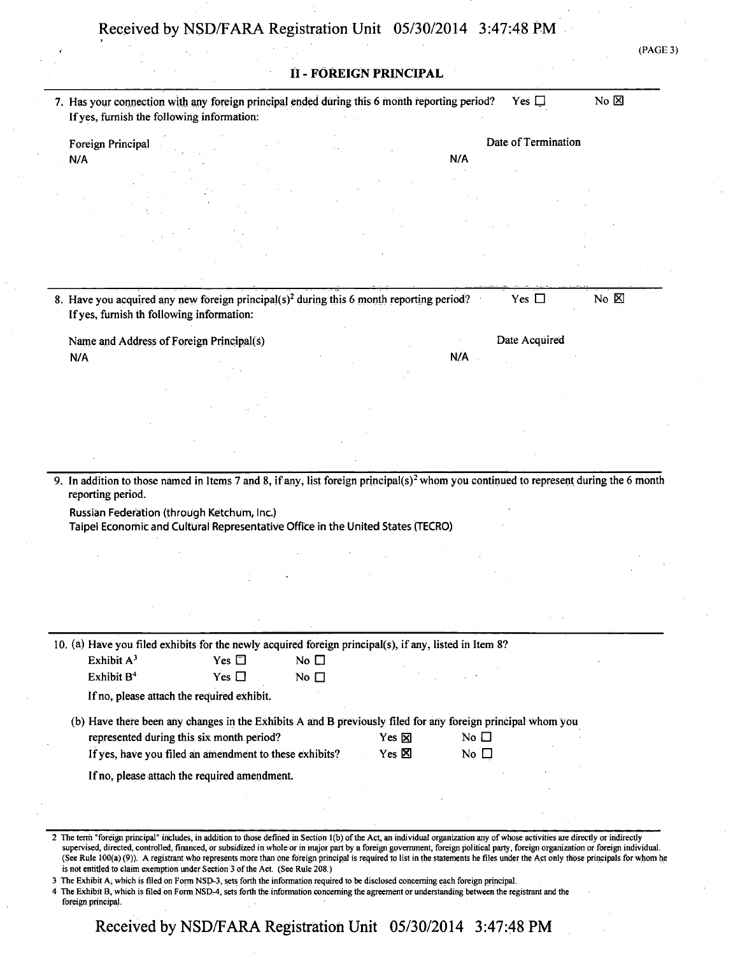|                   |                                                                                                                                                                                                 |                          |                              |                        |                 |                     | (PAGE 3)       |
|-------------------|-------------------------------------------------------------------------------------------------------------------------------------------------------------------------------------------------|--------------------------|------------------------------|------------------------|-----------------|---------------------|----------------|
|                   |                                                                                                                                                                                                 |                          |                              | II - FÖREIGN PRINCIPAL |                 |                     |                |
|                   | 7. Has your connection with any foreign principal ended during this 6 month reporting period?<br>If yes, furnish the following information:                                                     |                          |                              |                        |                 | Yes $\square$       | $No \boxtimes$ |
|                   | Foreign Principal                                                                                                                                                                               |                          |                              |                        |                 | Date of Termination |                |
| N/A               |                                                                                                                                                                                                 |                          |                              |                        | N/A             |                     |                |
|                   |                                                                                                                                                                                                 |                          |                              |                        |                 |                     |                |
|                   |                                                                                                                                                                                                 |                          |                              |                        |                 |                     |                |
|                   |                                                                                                                                                                                                 |                          |                              |                        |                 |                     |                |
|                   | 8. Have you acquired any new foreign principal(s) <sup>2</sup> during this 6 month reporting period?<br>If yes, furnish th following information:                                               |                          |                              |                        |                 | Yes $\Box$          | No $\boxtimes$ |
|                   | Name and Address of Foreign Principal(s)                                                                                                                                                        |                          |                              |                        |                 | Date Acquired       |                |
| N/A               |                                                                                                                                                                                                 |                          |                              |                        | N/A             |                     |                |
|                   |                                                                                                                                                                                                 |                          |                              |                        |                 |                     |                |
|                   |                                                                                                                                                                                                 |                          |                              |                        |                 |                     |                |
|                   |                                                                                                                                                                                                 |                          |                              |                        |                 |                     |                |
| reporting period. | 9. In addition to those named in Items 7 and 8, if any, list foreign principal(s) <sup>2</sup> whom you continued to represent during the 6 month<br>Russian Federation (through Ketchum, Inc.) |                          |                              |                        |                 |                     |                |
|                   | Taipei Economic and Cultural Representative Office in the United States (TECRO)                                                                                                                 |                          |                              |                        |                 |                     |                |
|                   |                                                                                                                                                                                                 |                          |                              |                        |                 |                     |                |
|                   |                                                                                                                                                                                                 |                          |                              |                        |                 |                     |                |
|                   |                                                                                                                                                                                                 |                          |                              |                        |                 |                     |                |
|                   | 10. (a) Have you filed exhibits for the newly acquired foreign principal(s), if any, listed in Item 8?                                                                                          |                          |                              |                        |                 |                     |                |
|                   | Exhibit A <sup>3</sup><br>Exhibit B <sup>4</sup>                                                                                                                                                | Yes $\Box$<br>Yes $\Box$ | No $\square$<br>No $\square$ |                        |                 |                     |                |
|                   | If no, please attach the required exhibit.                                                                                                                                                      |                          |                              |                        |                 |                     |                |
|                   | (b) Have there been any changes in the Exhibits A and B previously filed for any foreign principal whom you                                                                                     |                          |                              |                        |                 |                     |                |
|                   | represented during this six month period?                                                                                                                                                       |                          |                              | Yes $\boxtimes$        | No $\square$    |                     |                |
|                   | If yes, have you filed an amendment to these exhibits?                                                                                                                                          |                          |                              | Yes $\boxtimes$        | No <sub>1</sub> |                     |                |
|                   | If no, please attach the required amendment.                                                                                                                                                    |                          |                              |                        |                 |                     |                |
|                   |                                                                                                                                                                                                 |                          |                              |                        |                 |                     |                |

(See Rule 100(a) (9)). A registrant who represents more than one foreign principal is required to list in the statements he files under the Act only those principals for whom he is not entitled to claim exemption under Section 3 of the Act. (See Rule 208.)

3 The Exhibit A, which is filed on Form NSD-3, sets forth the information required to be disclosed concerning each foreign principal.

4 The Exhibit B, which is filed on Form NSD-4, sets forth the information concerning the agreement or understanding between the registrant and the foreign principal.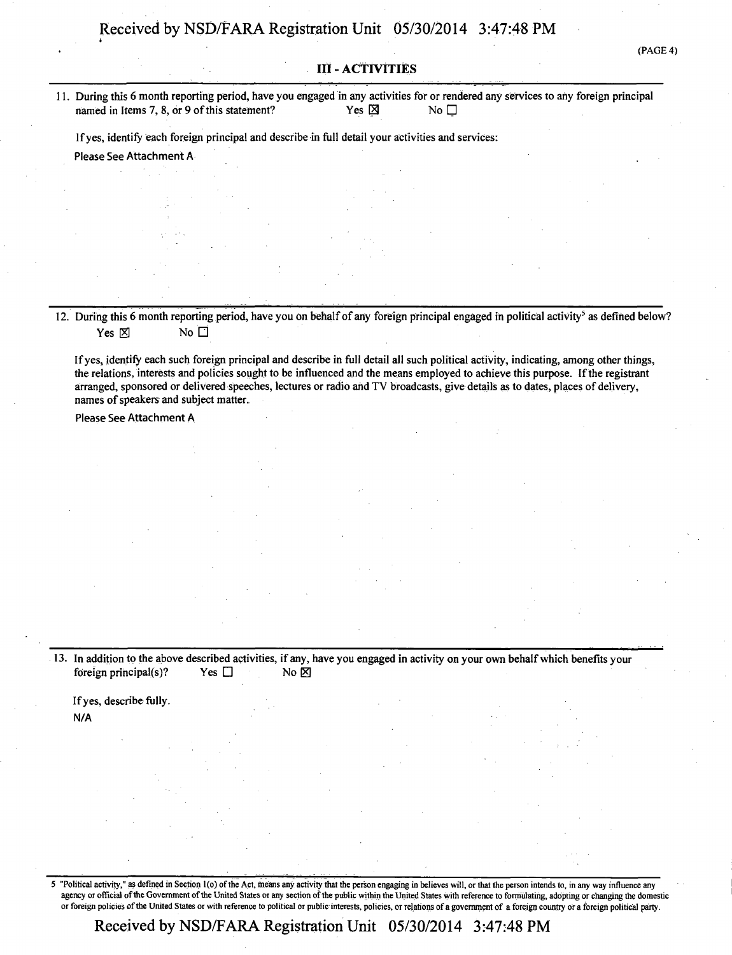(PAGE 4)

**i** 

### **III - ACTIVITIES**

**11. During this 6 month reporting period, have you engaged in any activities for or rendered any services to any foreign principal**  named in Items 7, 8, or 9 of this statement? Yes  $\boxtimes$  Yes  $\boxtimes$ 

**Ifyes, identify each foreign principal and describe in full detail your activities and services:** 

**Please See Attachment A** 

12. During this 6 month reporting period, have you on behalf of any foreign principal engaged in political activity<sup>5</sup> as defined below?  $Yes \boxtimes$  No  $\square$ 

**If yes, identify each such foreign principal and describe in full detail all such political activity, indicating, among other things, the relations, interests and policies sought to be influenced and the means employed to achieve this purpose. If the registrant arranged, sponsored or delivered speeches, lectures or radio and TV broadcasts, give details as to dates, places of delivery, names of speakers and subject matter.** 

**Please See Attachment A** 

**13. In addition to the above described activities, if any, have you engaged in activity on your own behalf which benefits your foreign principal(s)?** Yes  $\Box$  No  $\boxtimes$ 

**If yes, describe fully. N/A** 

5 "Political activity," as defined in Section l(o) of the Act, means any activity that the person engaging in believes will, or that the person intends to, in any way influence any agency or official of the Government of the United States or any section of the public within the United States with reference to formulating, adopting or changing the domestic or foreign policies ofthe United States or with reference to political or public interests, policies, or relations of a government of a foreign country or a foreign political party.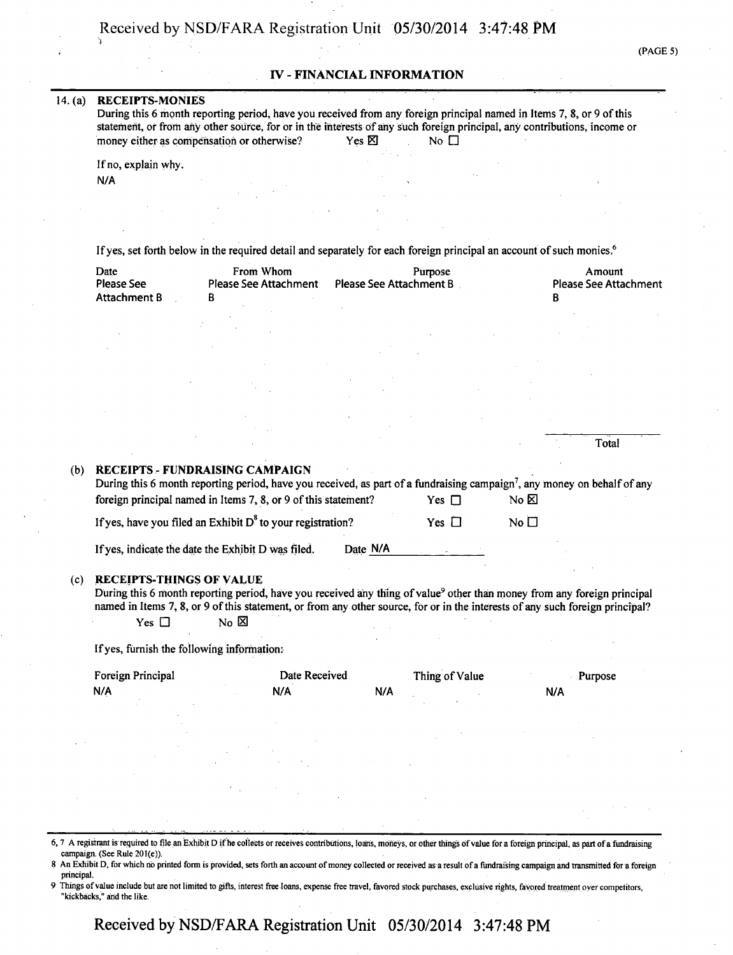#### **IV - FINANCIAL INFORMATION**

#### **14. (a) RECEIPTS-MONIES**

**During this 6 month reporting period, have you received from any foreign principal named in Items 7, 8, or 9 of this statement, or from any other source, for or in the interests of any such foreign principal, any contributions, income or money either as compensation or otherwise?** Yes  $\times$  No  $\Box$ 

**If no, explain why. N/A** 

**If yes, set forth below in the required detail and separately for each foreign principal an account of such monies.<sup>6</sup>**

| Date         | From Whom             | Purpose                 | Amount                       |
|--------------|-----------------------|-------------------------|------------------------------|
| Please See   | Please See Attachment | Please See Attachment B | <b>Please See Attachment</b> |
| Attachment B |                       |                         |                              |

|     |                                                                                                                                      |            |                 | Total |
|-----|--------------------------------------------------------------------------------------------------------------------------------------|------------|-----------------|-------|
| (b) | <b>RECEIPTS - FUNDRAISING CAMPAIGN</b>                                                                                               |            |                 |       |
|     | During this 6 month reporting period, have you received, as part of a fundraising campaign <sup>7</sup> , any money on behalf of any |            |                 |       |
|     | foreign principal named in Items 7, 8, or 9 of this statement?                                                                       | Yes $\Box$ | No ⊠            |       |
|     | If yes, have you filed an Exhibit $D^8$ to your registration?                                                                        | Yes $\Box$ | No <sub>1</sub> |       |
|     |                                                                                                                                      |            |                 |       |

If yes, indicate the date the Exhibit D was filed. Date N/A

#### **(c) RECEIPTS-THINGS OF VALUE**

During this 6 month reporting period, have you received any thing of value<sup>9</sup> other than money from any foreign principal **named in Items 7, 8, or 9 of this statement, or from any other source, for or in the interests of any such foreign principal?**<br><sup>2</sup> Yes □ No ⊠  $Yes \Box$ 

**Ifyes, furnish the following information:** 

| Foreign Principal | Date Received | Thing of Value | Purpose |
|-------------------|---------------|----------------|---------|
| N/A               | N/A           | N/A            | N/A     |
|                   |               |                |         |

6,7 A registrant is required to file an Exhibit D if he collects or receives contributions, loans, moneys, or other things of value for a foreign principal, as part of a fundraising campaign. (See Rule 201(e)).

- 8 An Exhibit D, for which no printed form is provided, sets forth an account of money collected or received as a result of a fundraising campaign and transmitted for a foreign principal.
- Things of value include but are not limited to gifts, interest free loans, expense free travel, favored stock purchases, exclusive rights, favored treatment over competitors, "kickbacks," and the like.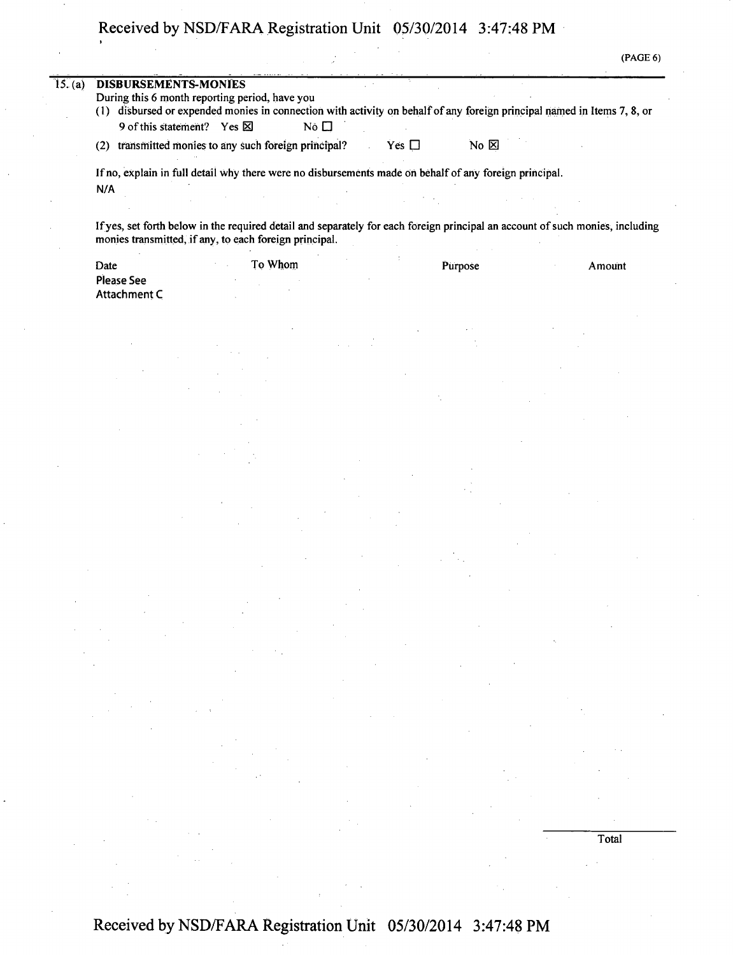| (PAGE 6) |
|----------|
|----------|

| 15. (a) | <b>DISBURSEMENTS-MONIES</b>                                                                                   |         |           |            |                  |                                                                                                                               |
|---------|---------------------------------------------------------------------------------------------------------------|---------|-----------|------------|------------------|-------------------------------------------------------------------------------------------------------------------------------|
|         | During this 6 month reporting period, have you                                                                |         |           |            |                  |                                                                                                                               |
|         |                                                                                                               |         |           |            |                  | (1) disbursed or expended monies in connection with activity on behalf of any foreign principal named in Items 7, 8, or       |
|         | 9 of this statement? Yes $\boxtimes$                                                                          |         | No $\Box$ |            |                  |                                                                                                                               |
|         | transmitted monies to any such foreign principal?<br>(2)                                                      |         |           | Yes $\Box$ | $No & \boxtimes$ |                                                                                                                               |
|         | If no, explain in full detail why there were no disbursements made on behalf of any foreign principal.<br>N/A |         |           |            |                  |                                                                                                                               |
|         |                                                                                                               |         |           |            |                  |                                                                                                                               |
|         | monies transmitted, if any, to each foreign principal.                                                        |         |           |            |                  | If yes, set forth below in the required detail and separately for each foreign principal an account of such monies, including |
|         | Date                                                                                                          | To Whom |           |            | Purpose          | Amount                                                                                                                        |
|         | <b>Please See</b>                                                                                             |         |           |            |                  |                                                                                                                               |
|         | Attachment C                                                                                                  |         |           |            |                  |                                                                                                                               |
|         |                                                                                                               |         |           |            |                  |                                                                                                                               |

**Total**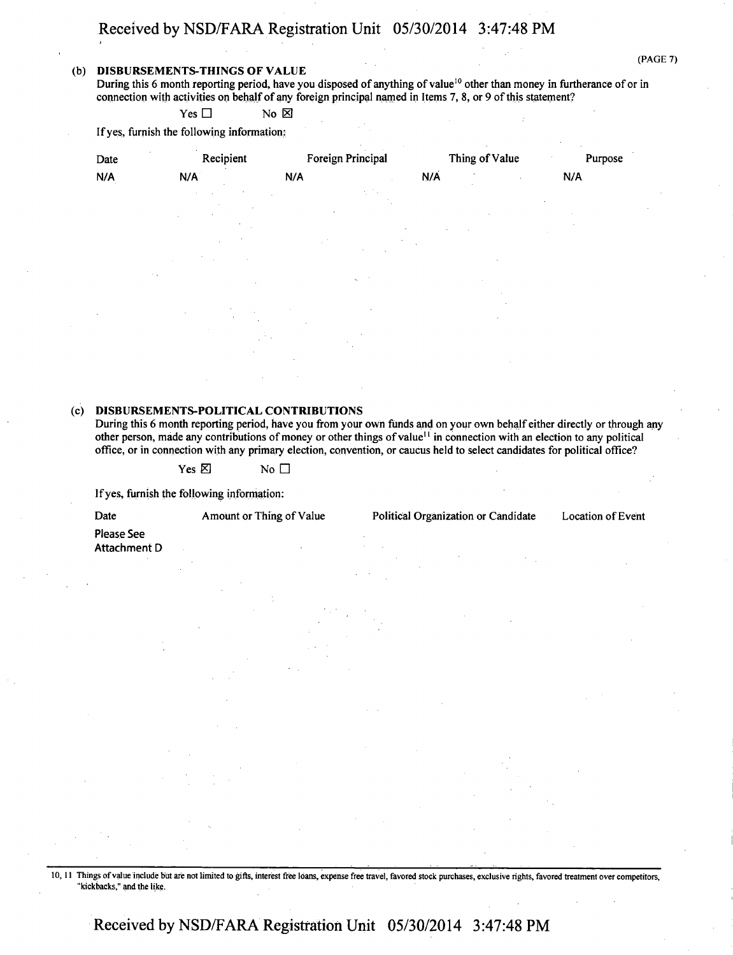#### **(b) DISBURSEMENTS-THINGS OF VALUE**

During this 6 month reporting period, have you disposed of anything of value<sup>10</sup> other than money in furtherance of or in connection with activities on behalf of any foreign principal named in Items 7, 8, or 9 of this statement?

 $Yes \Box$  No  $\boxtimes$ 

If yes, furnish the following information:

| Date   | Recipient                | Foreign Principal |     | Thing of Value | Purpose |
|--------|--------------------------|-------------------|-----|----------------|---------|
| N/A    | N/A                      | N/A               | N/A |                | N/A     |
|        |                          |                   |     |                |         |
|        |                          |                   |     |                |         |
|        |                          |                   |     |                |         |
|        |                          |                   |     |                |         |
|        | $\sim$ $\sim$            |                   |     |                |         |
|        |                          |                   |     |                |         |
| $\sim$ | ٠                        |                   |     |                |         |
|        |                          |                   |     |                |         |
|        |                          |                   |     |                |         |
|        |                          |                   |     |                |         |
|        | <b>Contract Contract</b> |                   |     |                |         |

#### **(c) DISBURSEMENTS-POLITICAL CONTRIBUTIONS**

During this 6 month reporting period, have you from your own funds and on your own behalf either directly or through any other person, made any contributions of money or other things of value<sup>11</sup> in connection with an election to any political office, or in connection with any primary election, convention, or caucus held to select candidates for political office?

Yes  $\boxtimes$  No  $\Box$ 

Ifyes, furnish the following information:

Date Amount or Thing of Value Political Organization or Candidate Location of Event

Please See Attachment D

10, 11 Things of value include hut are not limited to gifts, interest free loans, expense free travel, favored stock purchases, exclusive rights, favored treatment over competitors, "kickbacks," and the like.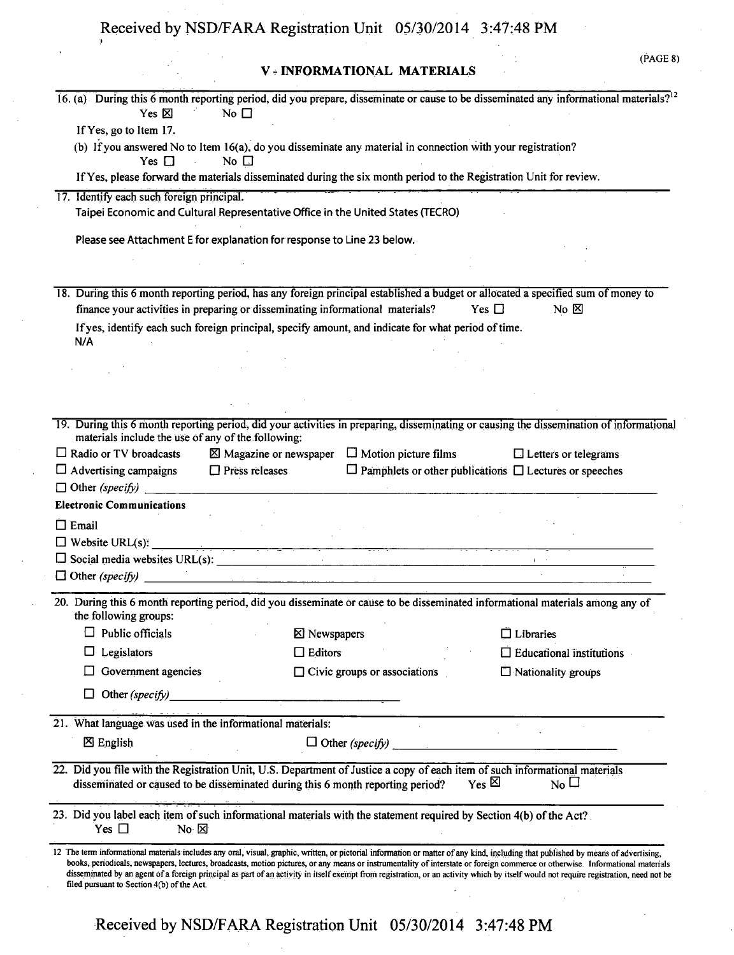## **V - INFORMATIONAL MATERIALS**

|                                                                                                                                                                                                                                  |                                                               | 16. (a) During this 6 month reporting period, did you prepare, disseminate or cause to be disseminated any informational materials? <sup>12</sup>                                                                                                                                                                                                                       |
|----------------------------------------------------------------------------------------------------------------------------------------------------------------------------------------------------------------------------------|---------------------------------------------------------------|-------------------------------------------------------------------------------------------------------------------------------------------------------------------------------------------------------------------------------------------------------------------------------------------------------------------------------------------------------------------------|
| Yes 図<br>No $\square$                                                                                                                                                                                                            |                                                               |                                                                                                                                                                                                                                                                                                                                                                         |
| If Yes, go to Item 17.<br>(b) If you answered No to Item 16(a), do you disseminate any material in connection with your registration?                                                                                            |                                                               |                                                                                                                                                                                                                                                                                                                                                                         |
| Yes $\Box$<br>No $\Box$                                                                                                                                                                                                          |                                                               |                                                                                                                                                                                                                                                                                                                                                                         |
| If Yes, please forward the materials disseminated during the six month period to the Registration Unit for review.                                                                                                               |                                                               |                                                                                                                                                                                                                                                                                                                                                                         |
| 17. Identify each such foreign principal.                                                                                                                                                                                        |                                                               |                                                                                                                                                                                                                                                                                                                                                                         |
| Taipei Economic and Cultural Representative Office in the United States (TECRO)                                                                                                                                                  |                                                               |                                                                                                                                                                                                                                                                                                                                                                         |
| Please see Attachment E for explanation for response to Line 23 below.                                                                                                                                                           |                                                               |                                                                                                                                                                                                                                                                                                                                                                         |
|                                                                                                                                                                                                                                  |                                                               |                                                                                                                                                                                                                                                                                                                                                                         |
| 18. During this 6 month reporting period, has any foreign principal established a budget or allocated a specified sum of money to                                                                                                |                                                               |                                                                                                                                                                                                                                                                                                                                                                         |
| finance your activities in preparing or disseminating informational materials?                                                                                                                                                   |                                                               | Yes $\Box$<br>No $\boxtimes$                                                                                                                                                                                                                                                                                                                                            |
| If yes, identify each such foreign principal, specify amount, and indicate for what period of time.<br>N/A                                                                                                                       |                                                               |                                                                                                                                                                                                                                                                                                                                                                         |
|                                                                                                                                                                                                                                  |                                                               |                                                                                                                                                                                                                                                                                                                                                                         |
|                                                                                                                                                                                                                                  |                                                               |                                                                                                                                                                                                                                                                                                                                                                         |
|                                                                                                                                                                                                                                  |                                                               |                                                                                                                                                                                                                                                                                                                                                                         |
|                                                                                                                                                                                                                                  |                                                               |                                                                                                                                                                                                                                                                                                                                                                         |
| materials include the use of any of the following:                                                                                                                                                                               |                                                               | 19. During this 6 month reporting period, did your activities in preparing, disseminating or causing the dissemination of informational                                                                                                                                                                                                                                 |
| $\Box$ Radio or TV broadcasts                                                                                                                                                                                                    | $\boxtimes$ Magazine or newspaper $\Box$ Motion picture films | $\Box$ Letters or telegrams                                                                                                                                                                                                                                                                                                                                             |
| $\square$ Press releases<br>$\Box$ Advertising campaigns                                                                                                                                                                         |                                                               | $\Box$ Pamphlets or other publications $\Box$ Lectures or speeches                                                                                                                                                                                                                                                                                                      |
| $\Box$ Other (specify)                                                                                                                                                                                                           |                                                               |                                                                                                                                                                                                                                                                                                                                                                         |
| <b>Electronic Communications</b>                                                                                                                                                                                                 |                                                               |                                                                                                                                                                                                                                                                                                                                                                         |
| $\Box$ Email                                                                                                                                                                                                                     |                                                               |                                                                                                                                                                                                                                                                                                                                                                         |
| $\Box$ Website URL(s):                                                                                                                                                                                                           |                                                               |                                                                                                                                                                                                                                                                                                                                                                         |
|                                                                                                                                                                                                                                  |                                                               |                                                                                                                                                                                                                                                                                                                                                                         |
|                                                                                                                                                                                                                                  |                                                               |                                                                                                                                                                                                                                                                                                                                                                         |
|                                                                                                                                                                                                                                  |                                                               |                                                                                                                                                                                                                                                                                                                                                                         |
| 20. During this 6 month reporting period, did you disseminate or cause to be disseminated informational materials among any of<br>the following groups:                                                                          |                                                               |                                                                                                                                                                                                                                                                                                                                                                         |
| $\Box$ Public officials                                                                                                                                                                                                          | <b>⊠</b> Newspapers                                           | $\Box$ Libraries                                                                                                                                                                                                                                                                                                                                                        |
| Legislators                                                                                                                                                                                                                      | $\Box$ Editors                                                | $\Box$ Educational institutions                                                                                                                                                                                                                                                                                                                                         |
| Government agencies                                                                                                                                                                                                              | $\Box$ Civic groups or associations                           | Nationality groups                                                                                                                                                                                                                                                                                                                                                      |
| Other (specify)                                                                                                                                                                                                                  |                                                               |                                                                                                                                                                                                                                                                                                                                                                         |
| 21. What language was used in the informational materials:                                                                                                                                                                       |                                                               |                                                                                                                                                                                                                                                                                                                                                                         |
| $\boxtimes$ English                                                                                                                                                                                                              |                                                               |                                                                                                                                                                                                                                                                                                                                                                         |
| 22. Did you file with the Registration Unit, U.S. Department of Justice a copy of each item of such informational materials                                                                                                      |                                                               |                                                                                                                                                                                                                                                                                                                                                                         |
| disseminated or caused to be disseminated during this 6 month reporting period?                                                                                                                                                  |                                                               | $Y_{\text{es}}$ $\boxtimes$<br>$_{\rm No}$ $\Box$                                                                                                                                                                                                                                                                                                                       |
| 23. Did you label each item of such informational materials with the statement required by Section 4(b) of the Act?<br>Yes $\Box$<br>$No \times$                                                                                 |                                                               |                                                                                                                                                                                                                                                                                                                                                                         |
| 12 The term informational materials includes any oral, visual, graphic, written, or pictorial information or matter of any kind, including that published by means of advertising,<br>filed pursuant to Section 4(b) of the Act. |                                                               | books, periodicals, newspapers, lectures, broadcasts, motion pictures, or any means or instrumentality of interstate or foreign commerce or otherwise. Informational materials<br>disseminated by an agent of a foreign principal as part of an activity in itself exempt from registration, or an activity which by itself would not require registration, need not be |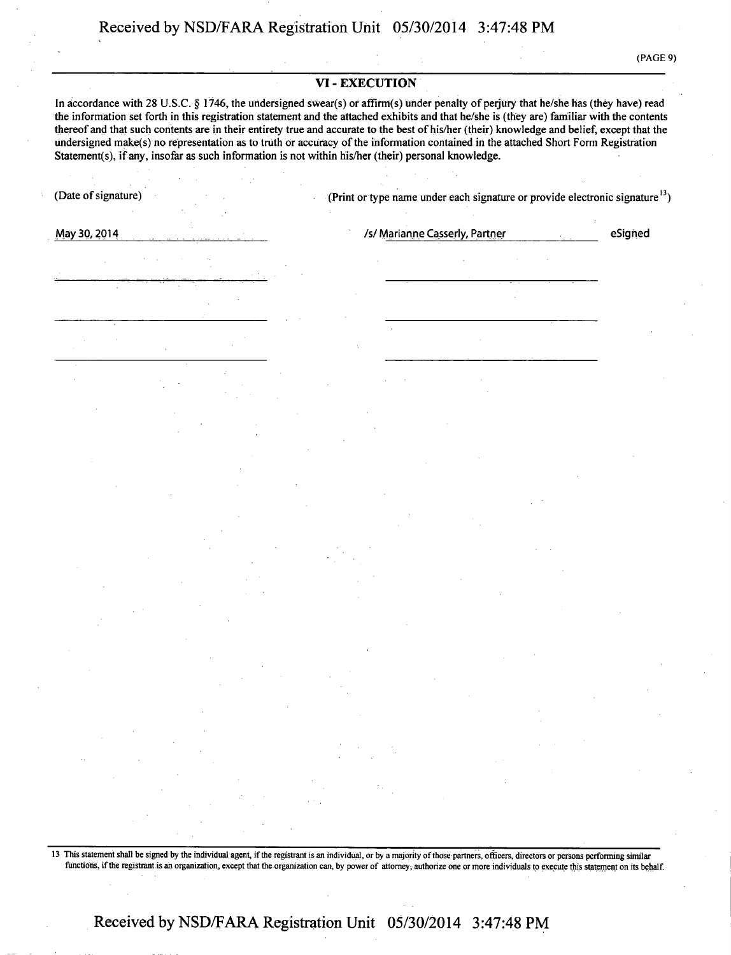(PAGE 9)

#### **VI - EXECUTION**

**In accordance with 28 U.S.C. § 1746, the undersigned swear(s) or affirm(s) under penalty of perjury that he/she has (they have) read the information set forth in this registration statement and the attached exhibits and that he/she is (they are) familiar with the contents thereof and that such contents are in their entirety true and accurate to the best of his/her (their) knowledge and belief, except that the undersigned make(s) no representation as to truth or accuracy of the information contained in the attached Short Form Registration Statement(s), if any, insofar as such information is not within his/her (their) personal knowledge.** 

| May 30, 2014                                                                                                                                                                                                                                                                                                                                                                                                                                                                                                                                                                                                                                                     |                                                                                                                                                                                                                                                                                                                                                                                                                                                                          |                                                                                                                                                                                                                                                                                                                                                                                                                                                        |  | /s/ Marianne Casserly, Partner |                                               |                                                                                                                                                                                                                            |                                                                                                                                                                                | eSigned                  |
|------------------------------------------------------------------------------------------------------------------------------------------------------------------------------------------------------------------------------------------------------------------------------------------------------------------------------------------------------------------------------------------------------------------------------------------------------------------------------------------------------------------------------------------------------------------------------------------------------------------------------------------------------------------|--------------------------------------------------------------------------------------------------------------------------------------------------------------------------------------------------------------------------------------------------------------------------------------------------------------------------------------------------------------------------------------------------------------------------------------------------------------------------|--------------------------------------------------------------------------------------------------------------------------------------------------------------------------------------------------------------------------------------------------------------------------------------------------------------------------------------------------------------------------------------------------------------------------------------------------------|--|--------------------------------|-----------------------------------------------|----------------------------------------------------------------------------------------------------------------------------------------------------------------------------------------------------------------------------|--------------------------------------------------------------------------------------------------------------------------------------------------------------------------------|--------------------------|
|                                                                                                                                                                                                                                                                                                                                                                                                                                                                                                                                                                                                                                                                  |                                                                                                                                                                                                                                                                                                                                                                                                                                                                          |                                                                                                                                                                                                                                                                                                                                                                                                                                                        |  |                                |                                               |                                                                                                                                                                                                                            |                                                                                                                                                                                |                          |
|                                                                                                                                                                                                                                                                                                                                                                                                                                                                                                                                                                                                                                                                  |                                                                                                                                                                                                                                                                                                                                                                                                                                                                          |                                                                                                                                                                                                                                                                                                                                                                                                                                                        |  |                                |                                               |                                                                                                                                                                                                                            |                                                                                                                                                                                |                          |
|                                                                                                                                                                                                                                                                                                                                                                                                                                                                                                                                                                                                                                                                  |                                                                                                                                                                                                                                                                                                                                                                                                                                                                          |                                                                                                                                                                                                                                                                                                                                                                                                                                                        |  |                                |                                               |                                                                                                                                                                                                                            |                                                                                                                                                                                |                          |
|                                                                                                                                                                                                                                                                                                                                                                                                                                                                                                                                                                                                                                                                  |                                                                                                                                                                                                                                                                                                                                                                                                                                                                          |                                                                                                                                                                                                                                                                                                                                                                                                                                                        |  |                                |                                               |                                                                                                                                                                                                                            |                                                                                                                                                                                |                          |
|                                                                                                                                                                                                                                                                                                                                                                                                                                                                                                                                                                                                                                                                  |                                                                                                                                                                                                                                                                                                                                                                                                                                                                          |                                                                                                                                                                                                                                                                                                                                                                                                                                                        |  |                                |                                               |                                                                                                                                                                                                                            |                                                                                                                                                                                |                          |
|                                                                                                                                                                                                                                                                                                                                                                                                                                                                                                                                                                                                                                                                  |                                                                                                                                                                                                                                                                                                                                                                                                                                                                          |                                                                                                                                                                                                                                                                                                                                                                                                                                                        |  |                                |                                               |                                                                                                                                                                                                                            |                                                                                                                                                                                |                          |
|                                                                                                                                                                                                                                                                                                                                                                                                                                                                                                                                                                                                                                                                  |                                                                                                                                                                                                                                                                                                                                                                                                                                                                          |                                                                                                                                                                                                                                                                                                                                                                                                                                                        |  |                                |                                               |                                                                                                                                                                                                                            |                                                                                                                                                                                |                          |
|                                                                                                                                                                                                                                                                                                                                                                                                                                                                                                                                                                                                                                                                  |                                                                                                                                                                                                                                                                                                                                                                                                                                                                          |                                                                                                                                                                                                                                                                                                                                                                                                                                                        |  |                                |                                               |                                                                                                                                                                                                                            |                                                                                                                                                                                |                          |
|                                                                                                                                                                                                                                                                                                                                                                                                                                                                                                                                                                                                                                                                  |                                                                                                                                                                                                                                                                                                                                                                                                                                                                          |                                                                                                                                                                                                                                                                                                                                                                                                                                                        |  |                                |                                               |                                                                                                                                                                                                                            |                                                                                                                                                                                |                          |
|                                                                                                                                                                                                                                                                                                                                                                                                                                                                                                                                                                                                                                                                  |                                                                                                                                                                                                                                                                                                                                                                                                                                                                          |                                                                                                                                                                                                                                                                                                                                                                                                                                                        |  |                                |                                               |                                                                                                                                                                                                                            |                                                                                                                                                                                |                          |
|                                                                                                                                                                                                                                                                                                                                                                                                                                                                                                                                                                                                                                                                  |                                                                                                                                                                                                                                                                                                                                                                                                                                                                          |                                                                                                                                                                                                                                                                                                                                                                                                                                                        |  |                                |                                               |                                                                                                                                                                                                                            |                                                                                                                                                                                |                          |
|                                                                                                                                                                                                                                                                                                                                                                                                                                                                                                                                                                                                                                                                  |                                                                                                                                                                                                                                                                                                                                                                                                                                                                          |                                                                                                                                                                                                                                                                                                                                                                                                                                                        |  |                                |                                               |                                                                                                                                                                                                                            |                                                                                                                                                                                |                          |
| $\label{eq:2.1} \mathcal{L}(\mathcal{L}^{\text{max}}_{\mathcal{L}}(\mathcal{L}^{\text{max}}_{\mathcal{L}}))\leq \mathcal{L}(\mathcal{L}^{\text{max}}_{\mathcal{L}}(\mathcal{L}^{\text{max}}_{\mathcal{L}}))$                                                                                                                                                                                                                                                                                                                                                                                                                                                     |                                                                                                                                                                                                                                                                                                                                                                                                                                                                          |                                                                                                                                                                                                                                                                                                                                                                                                                                                        |  |                                |                                               | $\label{eq:2.1} \mathcal{L}(\mathcal{L}^{\mathcal{L}}(\mathcal{L}^{\mathcal{L}})) = \mathcal{L}(\mathcal{L}^{\mathcal{L}}(\mathcal{L}^{\mathcal{L}})) = \mathcal{L}(\mathcal{L}^{\mathcal{L}}(\mathcal{L}^{\mathcal{L}}))$ |                                                                                                                                                                                |                          |
| $\label{eq:2.1} \begin{split} \mathcal{L}_{\text{max}}(\mathbf{r}) & = \frac{1}{2} \mathcal{L}_{\text{max}}(\mathbf{r}) \mathcal{L}_{\text{max}}(\mathbf{r}) \\ & = \frac{1}{2} \mathcal{L}_{\text{max}}(\mathbf{r}) \mathcal{L}_{\text{max}}(\mathbf{r}) \mathcal{L}_{\text{max}}(\mathbf{r}) \mathcal{L}_{\text{max}}(\mathbf{r}) \mathcal{L}_{\text{max}}(\mathbf{r}) \mathcal{L}_{\text{max}}(\mathbf{r}) \mathcal{L}_{\text{max}}(\mathbf{r}) \mathcal{L}_{\text{max}}(\mathbf{r})$<br>$\alpha_{\rm eff}$ and $\alpha_{\rm eff}$<br>$\mathcal{L}_{\text{max}}$ and $\mathcal{L}_{\text{max}}$ and $\mathcal{L}_{\text{max}}$ and $\mathcal{L}_{\text{max}}$ | $\sim 10^{11}$ km s $^{-1}$ m s $^{-1}$                                                                                                                                                                                                                                                                                                                                                                                                                                  | $\label{eq:2.1} \frac{1}{\sqrt{2}}\left(\frac{1}{\sqrt{2}}\right)^{2} \left(\frac{1}{\sqrt{2}}\right)^{2} \left(\frac{1}{\sqrt{2}}\right)^{2} \left(\frac{1}{\sqrt{2}}\right)^{2} \left(\frac{1}{\sqrt{2}}\right)^{2} \left(\frac{1}{\sqrt{2}}\right)^{2} \left(\frac{1}{\sqrt{2}}\right)^{2} \left(\frac{1}{\sqrt{2}}\right)^{2} \left(\frac{1}{\sqrt{2}}\right)^{2} \left(\frac{1}{\sqrt{2}}\right)^{2} \left(\frac{1}{\sqrt{2}}\right)^{2} \left(\$ |  |                                | $\Delta \mathcal{A}$ and $\Delta \mathcal{A}$ | and the contract of the                                                                                                                                                                                                    | $\label{eq:2.1} \mathcal{L}(\mathcal{L}(\mathcal{L})) = \mathcal{L}(\mathcal{L}(\mathcal{L})) = \mathcal{L}(\mathcal{L}(\mathcal{L})) = \mathcal{L}(\mathcal{L}(\mathcal{L}))$ | $\sim 10^{11}$ m $^{-1}$ |
| $\mathcal{L}(\mathcal{L}^{\mathcal{L}})$ and $\mathcal{L}^{\mathcal{L}}$ and $\mathcal{L}^{\mathcal{L}}$<br>$\mathcal{L}(\mathcal{A})$ and $\mathcal{L}(\mathcal{A})$ and                                                                                                                                                                                                                                                                                                                                                                                                                                                                                        | $\label{eq:2.1} \begin{split} \mathcal{L}_{\text{max}}(\mathbf{r},\mathbf{r}) = \mathcal{L}_{\text{max}}(\mathbf{r},\mathbf{r}) = \mathcal{L}_{\text{max}}(\mathbf{r},\mathbf{r}) \mathcal{L}_{\text{max}}(\mathbf{r},\mathbf{r}) \mathcal{L}_{\text{max}}(\mathbf{r},\mathbf{r}) \mathcal{L}_{\text{max}}(\mathbf{r},\mathbf{r},\mathbf{r}) \mathcal{L}_{\text{max}}(\mathbf{r},\mathbf{r},\mathbf{r},\mathbf{r}) \mathcal{L}_{\text{max}}(\mathbf{r},\mathbf{r},\math$ |                                                                                                                                                                                                                                                                                                                                                                                                                                                        |  | and the control                |                                               |                                                                                                                                                                                                                            |                                                                                                                                                                                |                          |

egistrant is an individual, or by a majority of those partners, officers, directors or persons performing similar functions, if the registrant is an organization, except that the organization can, by power of attorney, authorize one or more individuals to execute this statement on its behalf.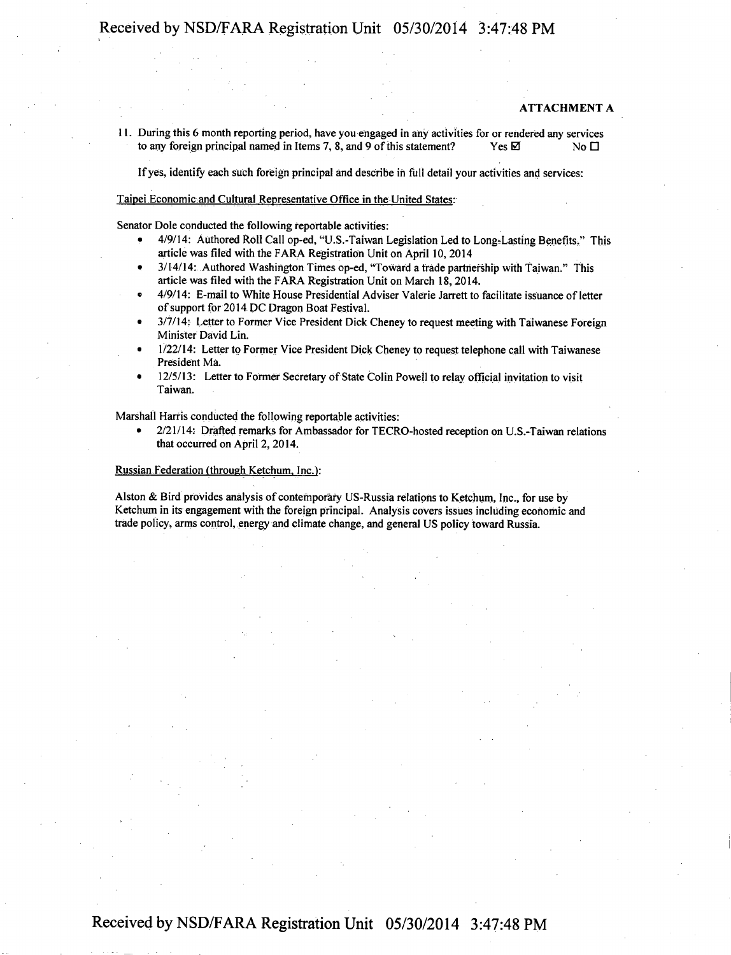#### **ATTACHMENT A**

11. During this 6 month reporting period, have you engaged in any activities for or rendered any services to any foreign principal named in Items 7, 8, and 9 of this statement? Yes  $\boxtimes$  Yes  $\boxtimes$ 

Ifyes, identify each such foreign principal and describe in full detail your activities and services:

#### Taipei Economic and Cultural Representative Office in the United States:

Senator Dole conducted the following reportable activities:

- 4/9/14: Authored Roll Call op-ed, "U.S.-Taiwan Legislation Led to Long-Lasting Benefits." This article was filed with the FARA Registration Unit on April 10, 2014
- 3/14/14: Authored Washington Times op-ed, "Toward a trade partnership with Taiwan." This article was filed with the FARA Registration Unit on March 18,2014.
- 4/9/14: E-mail to White House Presidential Adviser Valerie Jarrett to facilitate issuance of letter of support for 2014 DC Dragon Boat Festival.
- 3/7/14: Letter to Former Vice President Dick Cheney to request meeting with Taiwanese Foreign Minister David Lin.
- 1/22/14: Letter to Former Vice President Dick Cheney to request telephone call with Taiwanese President Ma.
- 12/5/13: Letter to Former Secretary of State Colin Powell to relay official invitation to visit Taiwan.

Marshall Harris conducted the following reportable activities:

• 2/21/14: Drafted remarks for Ambassador for TECRO-hosted reception on U.S.-Taiwan relations that occurred on April 2, 2014.

#### Russian Federation (through Ketchum. Inc.):

Alston & Bird provides analysis of contemporary US-Russia relations to Ketchum, Inc., for use by Ketchum in its engagement with the foreign principal. Analysis covers issues including economic and trade policy, arms control, energy and climate change, and general US policy toward Russia.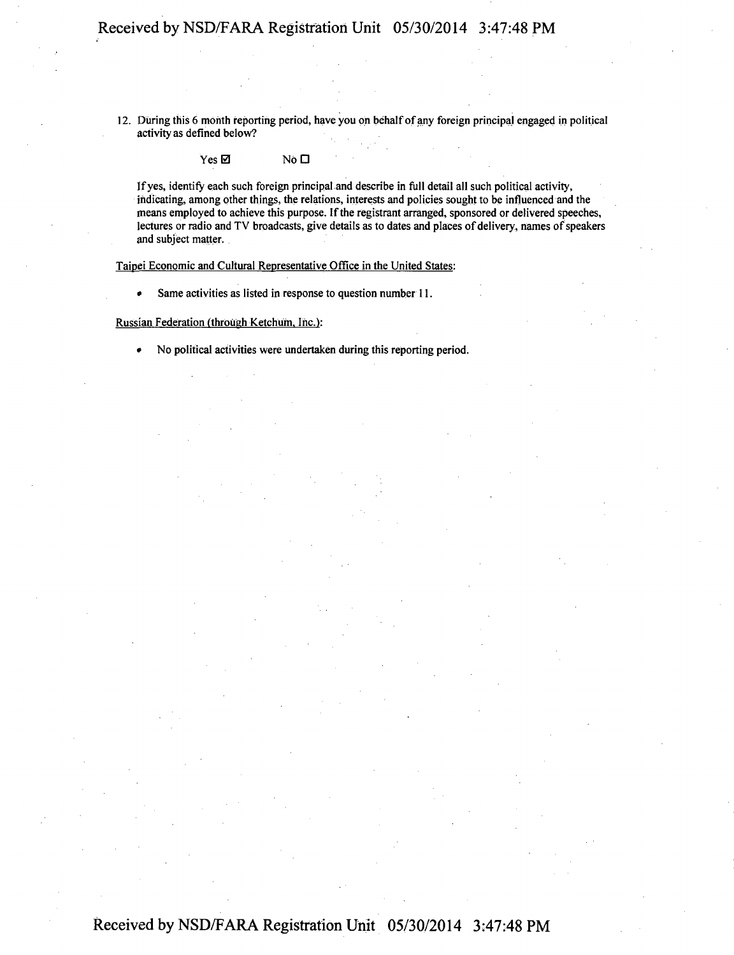12. During this 6 month reporting period, have you oh behalf of any foreign principal engaged in political activity as defined below?

 $Yes \boxtimes$  No  $\square$ 

If yes, identify each such foreign principal and describe in full detail all such political activity, indicating, among other things, the relations, interests and policies sought to be influenced and the means employed to achieve this purpose. If the registrant arranged, sponsored or delivered speeches, lectures or radio and TV broadcasts, give details as to dates and places of delivery, names of speakers and subject matter.

Taipei Economic and Cultural Representative Office in the United States:

• Same activities as listed in response to question number 11.

Russian Federation (through Ketchum. Inc.):

• No political activities were undertaken during this reporting period.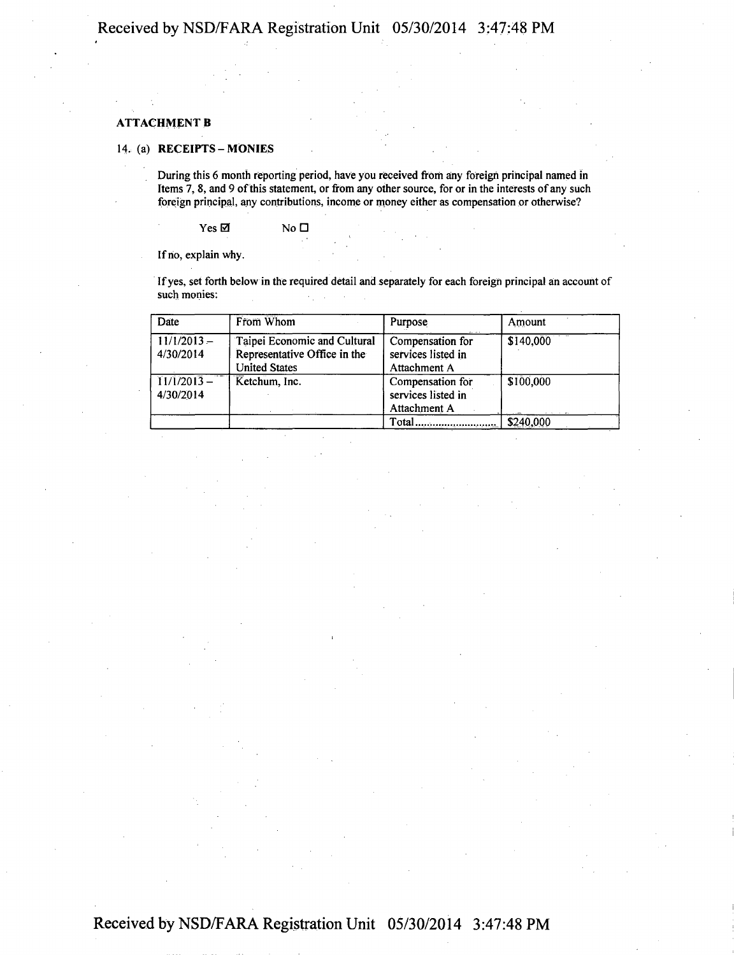#### **ATTACHMENT B**

#### **14. (a) RECEIPTS-MONIES**

During this 6 month reporting period, have you received from any foreign principal named in Items 7, 8, and 9 of this statement, or from any other source, for or in the interests of any such foreign principal, any contributions, income or money either as compensation or otherwise?

 $Yes \boxtimes$  No  $\square$ 

If no, explain why.

If yes, set forth below in the required detail and separately for each foreign principal an account of such monies:

| Date                                        | From Whom                                                                            | Purpose                                                | Amount    |
|---------------------------------------------|--------------------------------------------------------------------------------------|--------------------------------------------------------|-----------|
| $11/1/2013 -$<br>4/30/2014                  | Taipei Economic and Cultural<br>Representative Office in the<br><b>United States</b> | Compensation for<br>services listed in<br>Attachment A | \$140,000 |
| $11/1/2013 -$<br>Ketchum, Inc.<br>4/30/2014 |                                                                                      | Compensation for<br>services listed in<br>Attachment A | \$100,000 |
|                                             |                                                                                      | Total                                                  | \$240,000 |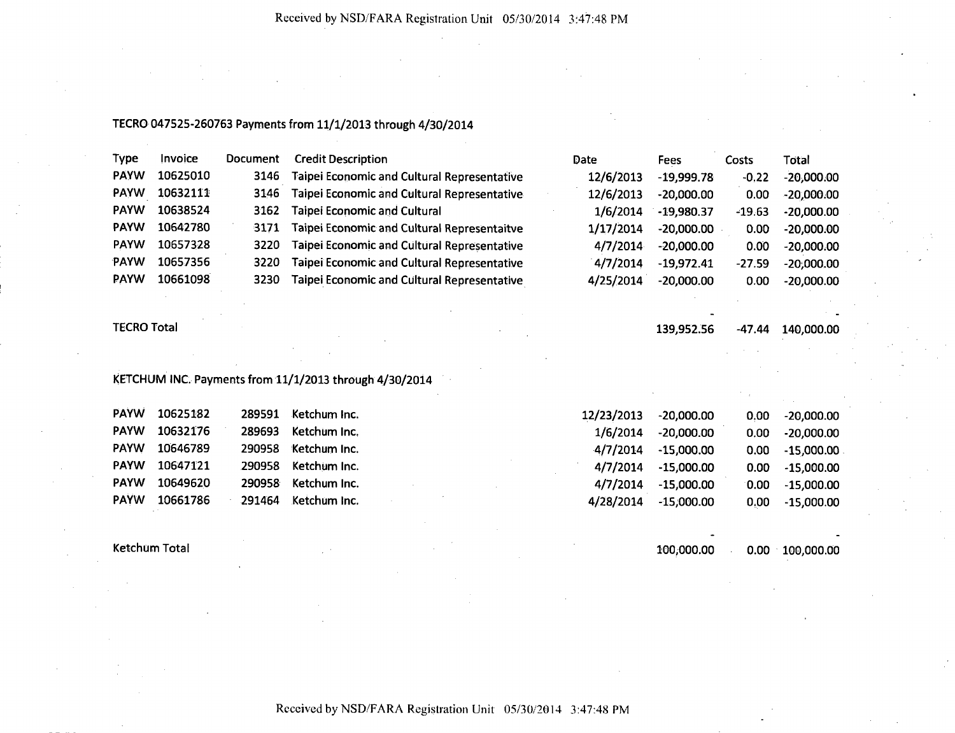### TECRO 047525-260763 Payments from 11/1/2013 through 4/30/2014

| Type        | Invoice  | <b>Document</b> | <b>Credit Description</b>                          | Date      | Fees         | Costs    | Total        |
|-------------|----------|-----------------|----------------------------------------------------|-----------|--------------|----------|--------------|
| <b>PAYW</b> | 10625010 | 3146            | <b>Taipei Economic and Cultural Representative</b> | 12/6/2013 | $-19,999.78$ | $-0.22$  | $-20,000.00$ |
| <b>PAYW</b> | 10632111 | 3146            | Taipei Economic and Cultural Representative        | 12/6/2013 | $-20,000,00$ | 0.00     | $-20,000.00$ |
| <b>PAYW</b> | 10638524 | 3162            | <b>Taipei Economic and Cultural</b>                | 1/6/2014  | $-19,980.37$ | -19.63   | $-20,000.00$ |
| <b>PAYW</b> | 10642780 | 3171            | <b>Taipei Economic and Cultural Representaitve</b> | 1/17/2014 | $-20,000.00$ | 0.00     | $-20,000.00$ |
| <b>PAYW</b> | 10657328 | 3220            | Taipei Economic and Cultural Representative        | 4/7/2014  | $-20,000.00$ | 0.00     | $-20,000.00$ |
| <b>PAYW</b> | 10657356 | 3220            | <b>Taipei Economic and Cultural Representative</b> | 4/7/2014  | $-19,972.41$ | $-27.59$ | $-20,000.00$ |
| <b>PAYW</b> | 10661098 | 3230            | Taipei Economic and Cultural Representative        | 4/25/2014 | $-20,000.00$ | 0.00     | $-20,000.00$ |

TECRO Total **139,952.56 -47.44 140,000.00** 

### KETCHUM INC. Payments from 11/1/2013 through 4/30/2014

| <b>PAYW</b> | 10625182 | 289591 | Ketchum Inc. |  | 12/23/2013 | $-20,000.00$ | 0.00 <sub>1</sub> | -20,000.00   |
|-------------|----------|--------|--------------|--|------------|--------------|-------------------|--------------|
| <b>PAYW</b> | 10632176 | 289693 | Ketchum Inc. |  | 1/6/2014   | $-20.000.00$ | 0.00 <sub>1</sub> | $-20,000.00$ |
| <b>PAYW</b> | 10646789 | 290958 | Ketchum Inc. |  | 4/7/2014   | $-15,000.00$ | 0.00              | $-15,000.00$ |
| <b>PAYW</b> | 10647121 | 290958 | Ketchum Inc. |  | 4/7/2014   | $-15,000.00$ | 0.00              | $-15,000.00$ |
| <b>PAYW</b> | 10649620 | 290958 | Ketchum Inc. |  | 4/7/2014   | $-15.000.00$ | 0.00              | $-15,000.00$ |
| <b>PAYW</b> | 10661786 | 291464 | Ketchum Inc. |  | 4/28/2014  | $-15,000.00$ | 0.00              | $-15,000.00$ |

Ketchum Total 100,000.00 0.00 100,000.00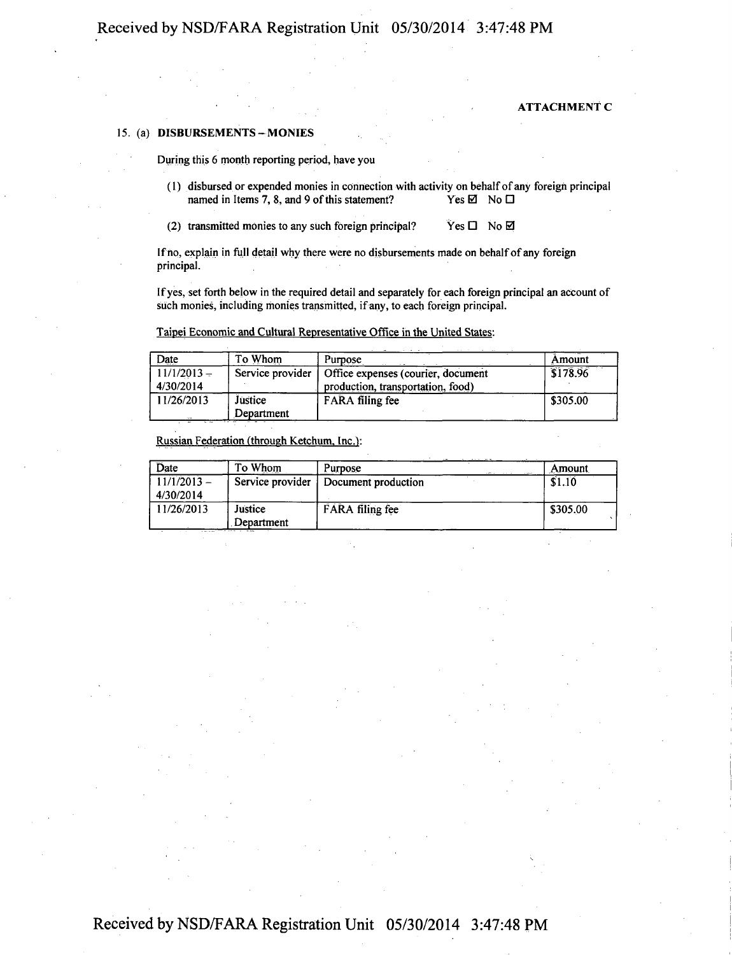#### **ATTACHMENT C**

#### **15. (a) DISBURSEMENTS- MONIES**

During this 6 month reporting period, have you

- (1) disbursed or expended monies in connection with activity on behalf of any foreign principal named in Items 7, 8, and 9 of this statement? Yes  $\boxtimes$  No  $\Box$ named in Items 7, 8, and 9 of this statement?
- (2) transmitted monies to any such foreign principal?  $Yes \Box \ No \boxtimes$

If no, explain in full detail why there were no disbursements made on behalf of any foreign principal.

If yes, set forth below in the required detail and separately for each foreign principal an account of such monies, including monies transmitted, if any, to each foreign principal.

Taipei Economic and Cultural Representative Office in the United States:

| Date          | To Whom          | Purpose                            | Amount   |
|---------------|------------------|------------------------------------|----------|
| $11/1/2013 -$ | Service provider | Office expenses (courier, document | 3178.96  |
| 4/30/2014     |                  | production, transportation, food)  |          |
| 11/26/2013    | Justice          | <b>FARA</b> filing fee             | \$305.00 |
| $-$           | Department       |                                    |          |

Russian Federation (through Ketchum. Inc.):

| Date                       | To Whom               | Purpose             | Amount   |
|----------------------------|-----------------------|---------------------|----------|
| $11/1/2013 -$<br>4/30/2014 | Service provider      | Document production | \$1.10   |
| 11/26/2013                 | Justice<br>Department | FARA filing fee     | \$305.00 |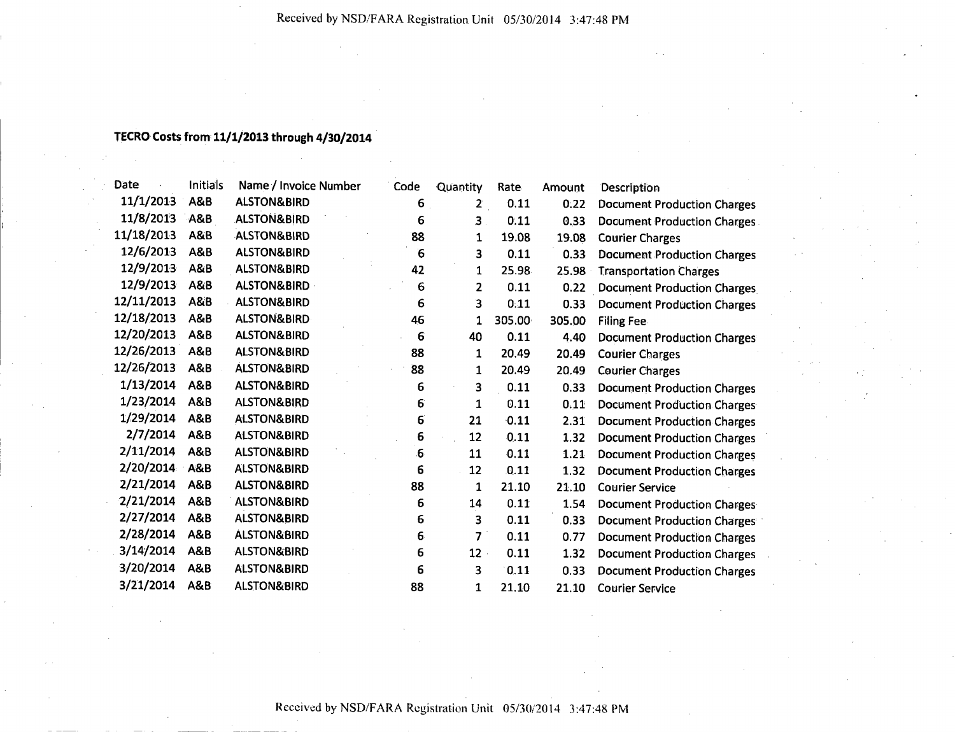### **TECRO Costs from 11/1/2013 through 4/30/2014**

| Date       | Initials       | Name / Invoice Number  | Code             | Quantity                | Rate   | Amount | <b>Description</b>                 |
|------------|----------------|------------------------|------------------|-------------------------|--------|--------|------------------------------------|
| 11/1/2013  | A&B            | <b>ALSTON&amp;BIRD</b> | 6                | $\overline{2}$          | 0.11   | 0.22   | <b>Document Production Charges</b> |
| 11/8/2013  | <b>A&amp;B</b> | <b>ALSTON&amp;BIRD</b> | 6                | 3 <sup>1</sup>          | 0:11   | 0.33   | <b>Document Production Charges</b> |
| 11/18/2013 | A&B            | <b>ALSTON&amp;BIRD</b> | 88               | $\mathbf 1$             | 19.08  | 19.08  | <b>Courier Charges</b>             |
| 12/6/2013  | A&B            | <b>ALSTON&amp;BIRD</b> | 6                | 3                       | 0.11   | 0.33   | <b>Document Production Charges</b> |
| 12/9/2013  | A&B            | <b>ALSTON&amp;BIRD</b> | 42               | 1                       | 25.98  | 25.98  | <b>Transportation Charges</b>      |
| 12/9/2013  | A&B            | <b>ALSTON&amp;BIRD</b> | 6                | 2                       | 0.11   | 0.22   | <b>Document Production Charges</b> |
| 12/11/2013 | A&B            | <b>ALSTON&amp;BIRD</b> | 6                | 3                       | 0.11   | 0.33   | <b>Document Production Charges</b> |
| 12/18/2013 | A&B            | <b>ALSTON&amp;BIRD</b> | 46               | 1                       | 305.00 | 305.00 | <b>Filing Fee</b>                  |
| 12/20/2013 | A&B            | <b>ALSTON&amp;BIRD</b> | 6                | 40                      | 0.11   | 4.40   | <b>Document Production Charges</b> |
| 12/26/2013 | A&B            | <b>ALSTON&amp;BIRD</b> | 88               | 1                       | 20.49  | 20.49  | <b>Courier Charges</b>             |
| 12/26/2013 | A&B            | <b>ALSTON&amp;BIRD</b> | 88               | 1                       | 20.49  | 20.49  | <b>Courier Charges</b>             |
| 1/13/2014  | A&B            | <b>ALSTON&amp;BIRD</b> | 6                | 3                       | 0.11   | 0.33   | <b>Document Production Charges</b> |
| 1/23/2014  | A&B            | <b>ALSTON&amp;BIRD</b> | 6                | 1                       | 0.11   | 0.11   | <b>Document Production Charges</b> |
| 1/29/2014  | <b>A&amp;B</b> | <b>ALSTON&amp;BIRD</b> | 6                | 21                      | 0.11   | 2.31   | <b>Document Production Charges</b> |
| 2/7/2014   | <b>A&amp;B</b> | <b>ALSTON&amp;BIRD</b> | 6                | 12                      | 0.11   | 1.32   | <b>Document Production Charges</b> |
| 2/11/2014  | <b>A&amp;B</b> | <b>ALSTON&amp;BIRD</b> | $\boldsymbol{6}$ | 11                      | 0.11   | 1.21   | <b>Document Production Charges</b> |
| 2/20/2014  | A&B            | <b>ALSTON&amp;BIRD</b> | 6                | 12                      | 0.11   | 1.32   | <b>Document Production Charges</b> |
| 2/21/2014  | <b>A&amp;B</b> | <b>ALSTON&amp;BIRD</b> | 88               | 1                       | 21.10  | 21.10  | <b>Courier Service</b>             |
| 2/21/2014  | A&B            | <b>ALSTON&amp;BIRD</b> | 6                | 14                      | 0.11   | 1.54   | <b>Document Production Charges</b> |
| 2/27/2014  | A&B            | <b>ALSTON&amp;BIRD</b> | 6                | 3                       | 0.11   | 0.33   | <b>Document Production Charges</b> |
| 2/28/2014  | <b>A&amp;B</b> | <b>ALSTON&amp;BIRD</b> | 6                | $\overline{\mathbf{z}}$ | 0.11   | 0.77   | <b>Document Production Charges</b> |
| 3/14/2014  | <b>A&amp;B</b> | <b>ALSTON&amp;BIRD</b> | 6                | $12 -$                  | 0.11   | 1.32   | <b>Document Production Charges</b> |
| 3/20/2014  | A&B            | <b>ALSTON&amp;BIRD</b> | 6                | 3                       | 0.11   | 0.33   | <b>Document Production Charges</b> |
| 3/21/2014  | <b>A&amp;B</b> | <b>ALSTON&amp;BIRD</b> | 88               | 1                       | 21.10  | 21.10  | <b>Courier Service</b>             |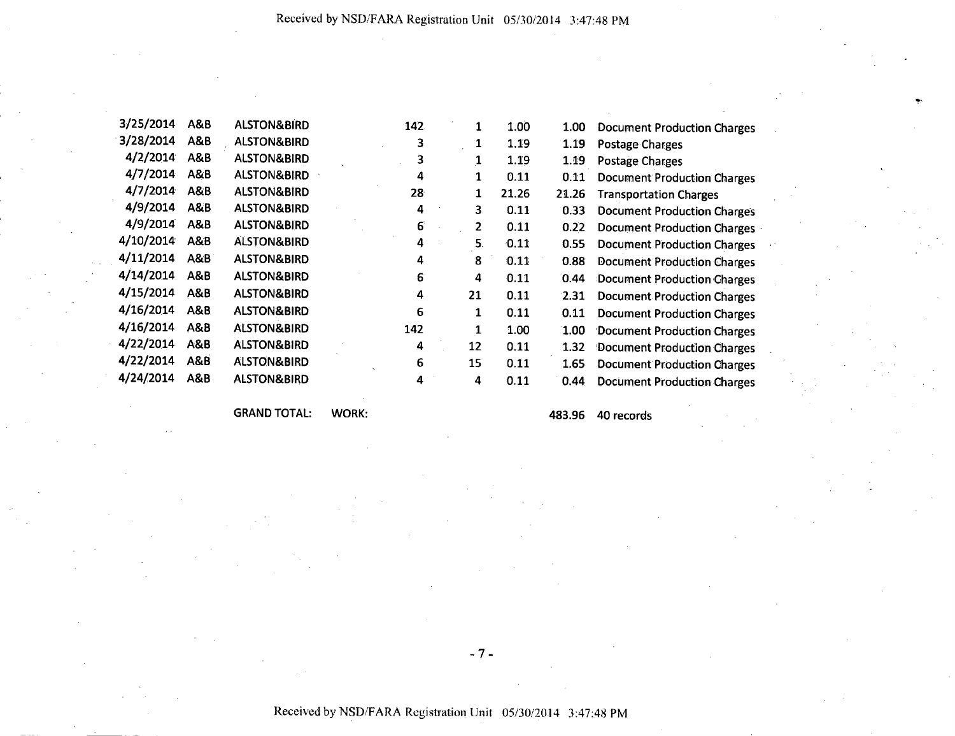| 3/25/2014 | A&B            | <b>ALSTON&amp;BIRD</b> | 142             | 1  | 1.00  | 1.00  | <b>Document Production Charges</b> |  |
|-----------|----------------|------------------------|-----------------|----|-------|-------|------------------------------------|--|
| 3/28/2014 | A&B            | <b>ALSTON&amp;BIRD</b> | 3               | 1  | 1.19  | 1.19  |                                    |  |
| 4/2/2014  | A&B            | <b>ALSTON&amp;BIRD</b> |                 |    |       |       | Postage Charges                    |  |
|           |                |                        | 3               |    | 1.19  | 1.19  | <b>Postage Charges</b>             |  |
| 4/7/2014  | <b>A&amp;B</b> | <b>ALSTON&amp;BIRD</b> | 4               | 1  | 0.11  | 0.11  | <b>Document Production Charges</b> |  |
| 4/7/2014  | A&B            | <b>ALSTON&amp;BIRD</b> | 28 <sub>2</sub> | 1  | 21.26 | 21.26 | <b>Transportation Charges</b>      |  |
| 4/9/2014  | <b>A&amp;B</b> | <b>ALSTON&amp;BIRD</b> | 4               | 3  | 0.11  | 0.33  | <b>Document Production Charges</b> |  |
| 4/9/2014  | A&B            | <b>ALSTON&amp;BIRD</b> | 6               | 2  | 0.11  | 0.22  | <b>Document Production Charges</b> |  |
| 4/10/2014 | A&B            | <b>ALSTON&amp;BIRD</b> | 4               | 5. | 0.11  | 0.55  | <b>Document Production Charges</b> |  |
| 4/11/2014 | A&B            | <b>ALSTON&amp;BIRD</b> | 4               | 8  | 0.11  | 0.88  | <b>Document Production Charges</b> |  |
| 4/14/2014 | A&B            | <b>ALSTON&amp;BIRD</b> | 6               | 4  | 0.11  | 0.44  | Document Production Charges        |  |
| 4/15/2014 | A&B            | <b>ALSTON&amp;BIRD</b> | 4               | 21 | 0.11  | 2.31  | <b>Document Production Charges</b> |  |
| 4/16/2014 | A&B            | <b>ALSTON&amp;BIRD</b> | 6               | 1  | 0.11  | 0.11  | <b>Document Production Charges</b> |  |
| 4/16/2014 | A&B            | <b>ALSTON&amp;BIRD</b> | 142             | 1  | 1.00  | 1.00  | Document Production Charges        |  |
| 4/22/2014 | A&B            | <b>ALSTON&amp;BIRD</b> | 4               | 12 | 0.11  | 1.32  | <b>Document Production Charges</b> |  |
| 4/22/2014 | <b>A&amp;B</b> | <b>ALSTON&amp;BIRD</b> | 6               | 15 | 0.11  | 1.65  | <b>Document Production Charges</b> |  |
| 4/24/2014 | A&B            | <b>ALSTON&amp;BIRD</b> | 4               | 4  | 0.11  | 0.44  | <b>Document Production Charges</b> |  |
|           |                |                        |                 |    |       |       |                                    |  |

GRAND TOTAL: WORK: 483.96 40 records

 $-7-$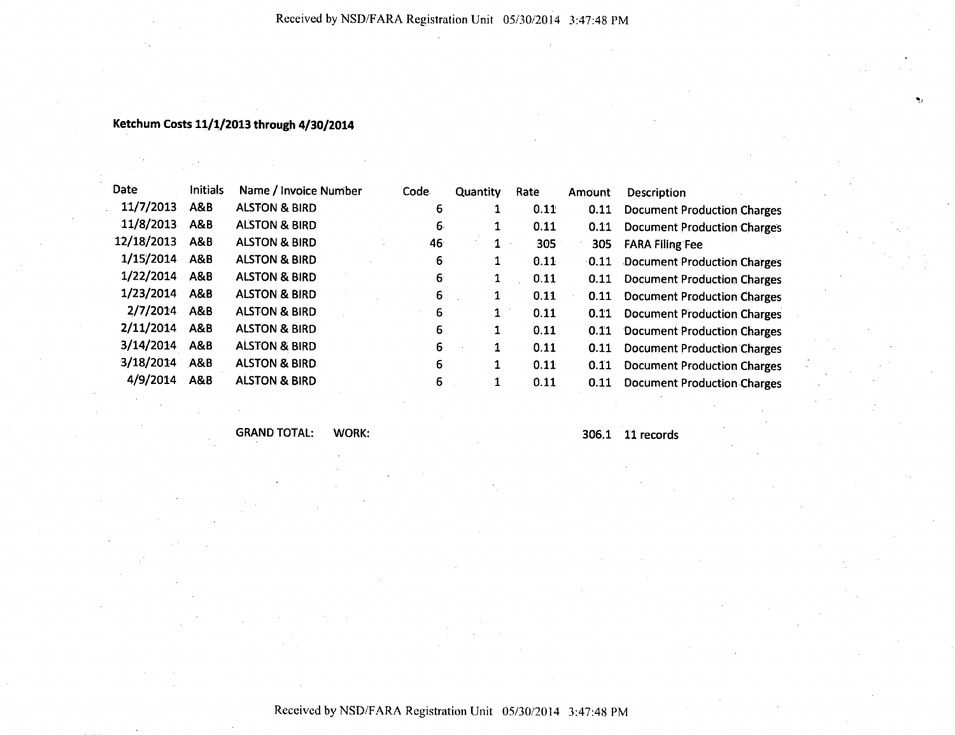### **Ketchum Costs 11/1/2013 through 4/30/2014**

| Date       | <b>Initials</b> | Name / Invoice Number    | Code | Quantity | Rate | Amount  | Description                        |
|------------|-----------------|--------------------------|------|----------|------|---------|------------------------------------|
| 11/7/2013  | A&B             | <b>ALSTON &amp; BIRD</b> | 6    |          | 0.11 | 0.11    | <b>Document Production Charges</b> |
| 11/8/2013  | A&B             | <b>ALSTON &amp; BIRD</b> | 6.   |          | 0.11 | 0.11    | <b>Document Production Charges</b> |
| 12/18/2013 | ABB             | <b>ALSTON &amp; BIRD</b> | 46   | 1        | 305  | 305     | <b>FARA Filing Fee</b>             |
| 1/15/2014  | A&B             | <b>ALSTON &amp; BIRD</b> | 6.   | 1        | 0.11 | $-0.11$ | Document Production Charges        |
| 1/22/2014  | A&B             | <b>ALSTON &amp; BIRD</b> | 6    | 1        | 0.11 | 0.11    | <b>Document Production Charges</b> |
| 1/23/2014  | A&B             | <b>ALSTON &amp; BIRD</b> | 6    | 1        | 0.11 | 0.11    | <b>Document Production Charges</b> |
| 2/7/2014   | <b>A&amp;B</b>  | <b>ALSTON &amp; BIRD</b> | 6    | 1        | 0.11 | 0.11    | <b>Document Production Charges</b> |
| 2/11/2014  | <b>A&amp;B</b>  | <b>ALSTON &amp; BIRD</b> | 6    |          | 0.11 | 0.11    | Document Production Charges        |
| 3/14/2014  | A&B             | <b>ALSTON &amp; BIRD</b> | 6    | 1        | 0.11 | 0.11    | <b>Document Production Charges</b> |
| 3/18/2014  | A&B             | <b>ALSTON &amp; BIRD</b> | 6    | 1        | 0.11 | 0.11    | <b>Document Production Charges</b> |
| 4/9/2014   | <b>A&amp;B</b>  | <b>ALSTON &amp; BIRD</b> | 6    | 1        | 0.11 | 0.11    | <b>Document Production Charges</b> |

GRAND TOTAL: WORK: 306.1 11 records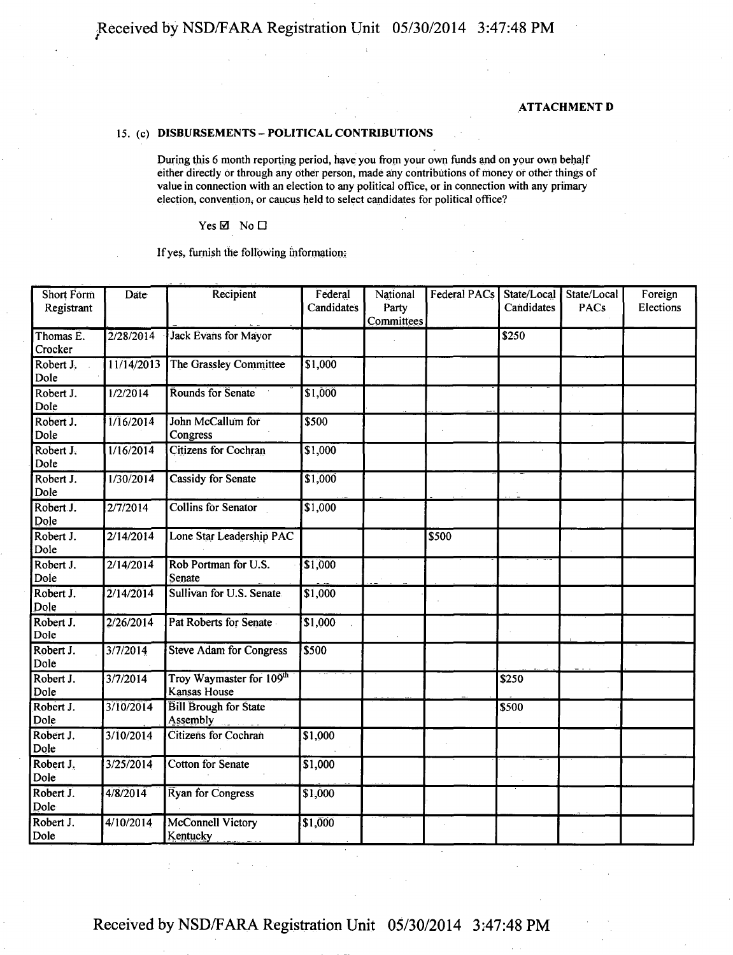#### **ATTACHMENT D**

#### **15. (c) DISBURSEMENTS-POLITICAL CONTRIBUTIONS**

During this 6 month reporting period, have you from your own funds and on your own behalf either directly or through any other person, made any contributions of money or other things of value in connection with an election to any political office, or in connection with any primary election, convention, or caucus held to select candidates for political office?

#### $Yes \n  $Mo \Box$$

#### If yes, furnish the following information:

| <b>Short Form</b><br>Registrant | Date       | Recipient                                | Federal<br>Candidates | National<br>Party<br>Committees | Federal PACs | State/Local<br>Candidates | State/Local<br>PACs | Foreign<br>Elections |
|---------------------------------|------------|------------------------------------------|-----------------------|---------------------------------|--------------|---------------------------|---------------------|----------------------|
| Thomas E.<br>Crocker            | 2/28/2014  | Jack Evans for Mayor                     |                       |                                 |              | s250                      |                     |                      |
| Robert J.<br>Dole               | 11/14/2013 | The Grassley Committee                   | \$1,000               |                                 |              |                           |                     |                      |
| Robert J.<br>Dole               | 1/2/2014   | Rounds for Senate                        | \$1,000               |                                 |              |                           |                     |                      |
| Robert J.<br>Dole               | 1/16/2014  | John McCallum for<br>Congress            | \$500                 |                                 |              |                           |                     |                      |
| Robert J.<br>Dole               | 1/16/2014  | <b>Citizens for Cochran</b>              | \$1,000               |                                 |              |                           |                     |                      |
| Robert J.<br>Dole               | 1/30/2014  | <b>Cassidy for Senate</b>                | \$1,000               |                                 |              |                           |                     |                      |
| Robert J.<br>Dole               | 2/7/2014   | <b>Collins for Senator</b>               | \$1,000               |                                 |              |                           |                     |                      |
| Robert J.<br>Dole               | 2/14/2014  | Lone Star Leadership PAC                 |                       |                                 | \$500        |                           |                     |                      |
| Robert J.<br>Dole               | 2/14/2014  | Rob Portman for U.S.<br>Senate           | \$1,000               |                                 |              |                           |                     |                      |
| Robert J.<br>Dole               | 2/14/2014  | Sullivan for U.S. Senate                 | \$1,000               |                                 |              |                           |                     |                      |
| Robert J.<br>Dole               | 2/26/2014  | Pat Roberts for Senate                   | \$1,000               |                                 |              |                           |                     |                      |
| Robert J.<br>Dole               | 3/7/2014   | <b>Steve Adam for Congress</b>           | \$500                 |                                 |              |                           |                     |                      |
| Robert J.<br>Dole               | 3/7/2014   | Troy Waymaster for 109th<br>Kansas House |                       |                                 |              | $\overline{$}250$         |                     |                      |
| Robert J.<br>Dole               | 3/10/2014  | <b>Bill Brough for State</b><br>Assembly |                       |                                 |              | \$500                     |                     |                      |
| Robert J.<br>Dole               | 3/10/2014  | Citizens for Cochran                     | \$1,000               |                                 |              |                           |                     |                      |
| Robert J.<br>Dole               | 3/25/2014  | <b>Cotton for Senate</b>                 | \$1,000               |                                 |              |                           |                     |                      |
| Robert J.<br>Dole               | 4/8/2014   | Ryan for Congress                        | $\overline{$1,000}$   |                                 |              |                           |                     |                      |
| Robert J.<br>Dole               | 4/10/2014  | <b>McConnell Victory</b><br>Kentucky     | \$1,000               |                                 |              |                           |                     |                      |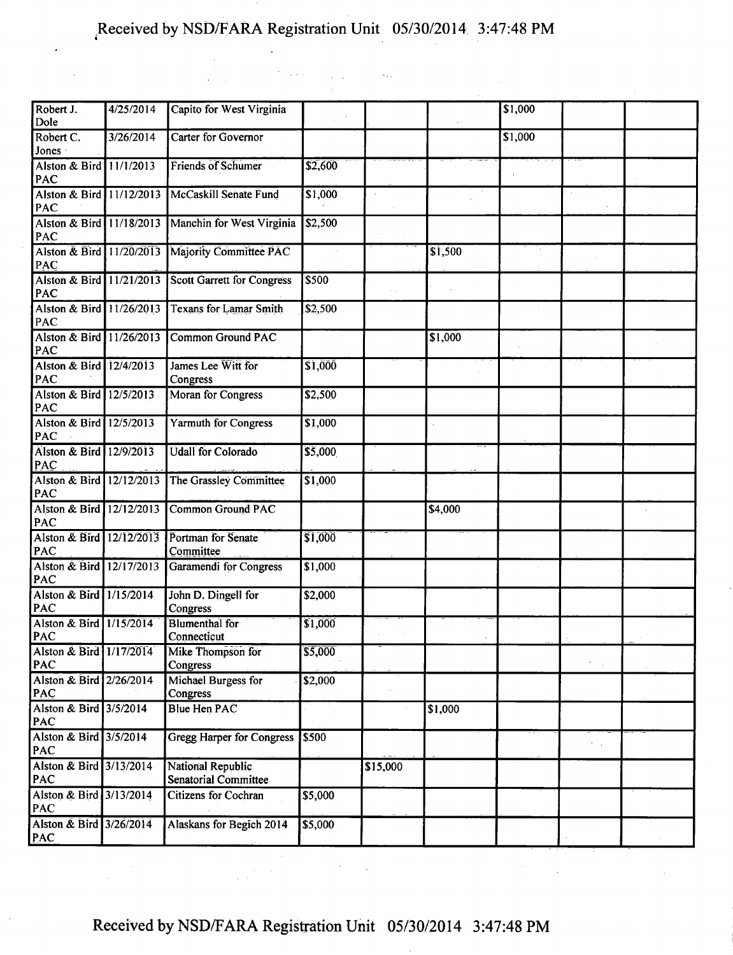$\sim 10^{-1}$ 

| Robert J.<br>Dole               | $\sqrt{4/25/20}14$ | Capito for West Virginia                         |         |               |         | \$1,000 |  |
|---------------------------------|--------------------|--------------------------------------------------|---------|---------------|---------|---------|--|
| Robert C.<br>Jones              | 3/26/2014          | Carter for Governor                              |         |               |         | \$1,000 |  |
| Alston & Bird 11/1/2013<br>PAC  |                    | <b>Friends of Schumer</b>                        | \$2,600 |               |         |         |  |
| Alston & Bird 11/12/2013<br>PAC |                    | McCaskill Senate Fund                            | \$1,000 |               |         |         |  |
| Alston & Bird 11/18/2013<br>PAC |                    | Manchin for West Virginia                        | \$2,500 |               |         |         |  |
| Alston & Bird 11/20/2013<br>PAC |                    | Majority Committee PAC                           |         |               | \$1,500 |         |  |
| Alston & Bird 11/21/2013<br>PAC |                    | <b>Scott Garrett for Congress</b>                | \$500   | $\sim$ $\sim$ |         |         |  |
| Alston & Bird 11/26/2013<br>PAC |                    | <b>Texans for Lamar Smith</b>                    | \$2,500 |               |         |         |  |
| Alston & Bird 11/26/2013<br>PAC |                    | <b>Common Ground PAC</b>                         |         |               | \$1,000 |         |  |
| Alston & Bird 12/4/2013<br>PAC  |                    | James Lee Witt for<br>Congress                   | \$1,000 |               |         |         |  |
| Alston & Bird 12/5/2013<br>PAC  |                    | Moran for Congress                               | \$2,500 |               |         |         |  |
| Alston & Bird 12/5/2013<br>PAC  |                    | <b>Yarmuth for Congress</b>                      | \$1,000 |               |         |         |  |
| Alston & Bird 12/9/2013<br>PAC  |                    | <b>Udall for Colorado</b>                        | \$5,000 |               |         |         |  |
| Alston & Bird 12/12/2013<br>PAC |                    | The Grassley Committee                           | \$1,000 |               |         |         |  |
| Alston & Bird 12/12/2013<br>PAC |                    | <b>Common Ground PAC</b>                         |         |               | \$4,000 |         |  |
| Alston & Bird 12/12/2013<br>PAC |                    | Portman for Senate<br>Committee                  | \$1,000 |               |         |         |  |
| Alston & Bird 12/17/2013<br>PAC |                    | <b>Garamendi for Congress</b>                    | \$1,000 |               |         |         |  |
| Alston & Bird 1/15/2014<br>PAC  |                    | John D. Dingell for<br>Congress                  | \$2,000 |               |         |         |  |
| Alston & Bird 1/15/2014<br>PAC  |                    | <b>Blumenthal</b> for<br>Connecticut             | \$1,000 |               |         |         |  |
| Alston & Bird 1/17/2014<br>PAC  |                    | Mike Thompson for<br>Congress                    | \$5,000 |               |         |         |  |
| Alston & Bird 2/26/2014<br>PAC  |                    | Michael Burgess for<br>Congress                  | \$2,000 |               |         |         |  |
| Alston & Bird 3/5/2014<br>PAC   |                    | <b>Blue Hen PAC</b>                              |         |               | \$1,000 |         |  |
| Alston & Bird 3/5/2014<br>PAC   |                    | <b>Gregg Harper for Congress</b>                 | \$500   |               |         |         |  |
| Alston & Bird 3/13/2014<br>PAC  |                    | National Republic<br><b>Senatorial Committee</b> |         | \$15,000      |         |         |  |
| Alston & Bird 3/13/2014<br>PAC  |                    | Citizens for Cochran                             | \$5,000 |               |         |         |  |
| Alston & Bird 3/26/2014<br>PAC  |                    | Alaskans for Begich 2014                         | \$5,000 |               |         |         |  |
|                                 |                    |                                                  |         |               |         |         |  |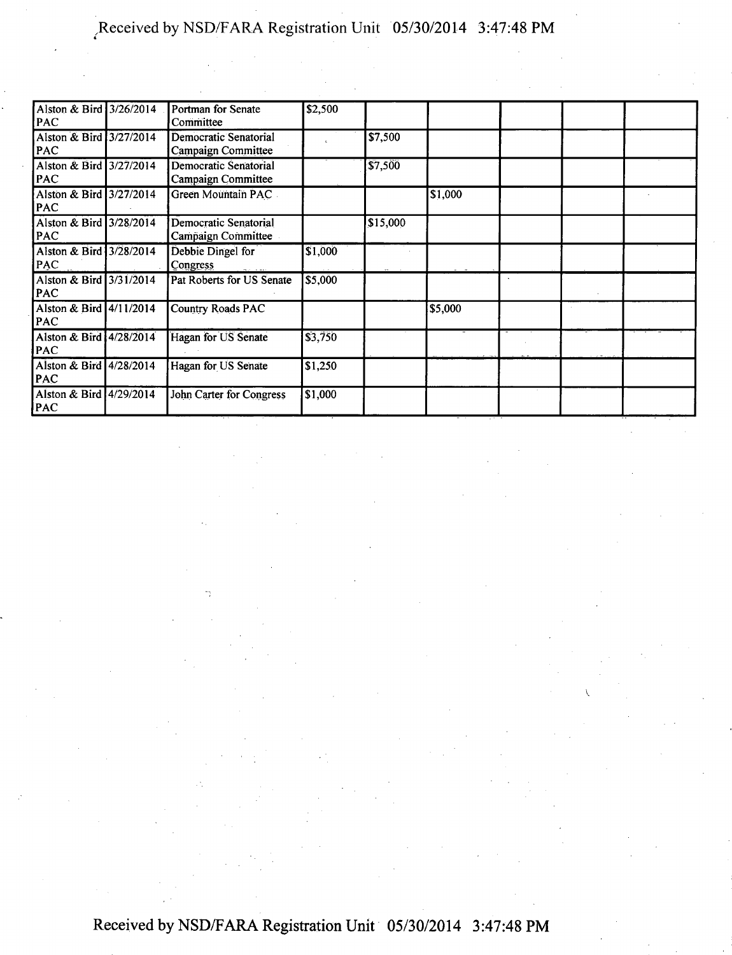| Alston & Bird 3/26/2014<br>PAC        | Portman for Senate<br>Committee             | \$2,500 |          |         |  |  |
|---------------------------------------|---------------------------------------------|---------|----------|---------|--|--|
| Alston & Bird 3/27/2014<br>PAC        | Democratic Senatorial<br>Campaign Committee |         | \$7,500  |         |  |  |
| Alston & Bird 3/27/2014<br><b>PAC</b> | Democratic Senatorial<br>Campaign Committee |         | \$7,500  |         |  |  |
| Alston & Bird 3/27/2014<br>PAC        | Green Mountain PAC                          |         |          | \$1,000 |  |  |
| Alston & Bird 3/28/2014<br><b>PAC</b> | Democratic Senatorial<br>Campaign Committee |         | \$15,000 |         |  |  |
| Alston & Bird 3/28/2014<br><b>PAC</b> | Debbie Dingel for<br>Congress               | \$1,000 |          |         |  |  |
| Alston & Bird 3/31/2014<br>PAC        | Pat Roberts for US Senate                   | \$5,000 |          |         |  |  |
| Alston & Bird 4/11/2014<br>PAC        | <b>Country Roads PAC</b>                    |         |          | \$5,000 |  |  |
| Alston & Bird 4/28/2014<br>PAC        | Hagan for US Senate                         | \$3,750 |          |         |  |  |
| Alston & Bird 4/28/2014<br><b>PAC</b> | Hagan for US Senate                         | \$1,250 |          |         |  |  |
| Alston & Bird 4/29/2014<br>PAC        | John Carter for Congress                    | \$1,000 |          |         |  |  |

v.